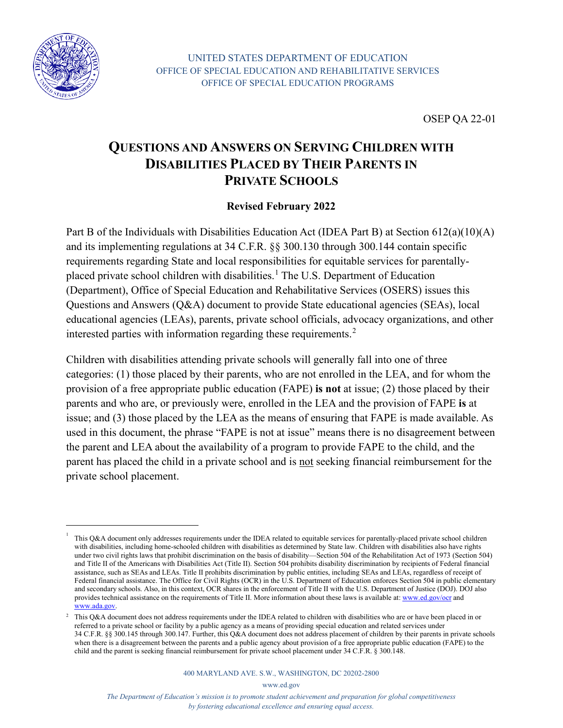

OSEP QA 22-01

## **QUESTIONS AND ANSWERS ON SERVING CHILDREN WITH DISABILITIES PLACED BY THEIR PARENTS IN PRIVATE SCHOOLS**

#### **Revised February 2022**

Part B of the Individuals with Disabilities Education Act (IDEA Part B) at Section 612(a)(10)(A) and its implementing regulations at 34 C.F.R. §§ 300.130 through 300.144 contain specific requirements regarding State and local responsibilities for equitable services for parentally-placed private school children with disabilities.<sup>[1](#page-0-0)</sup> The U.S. Department of Education (Department), Office of Special Education and Rehabilitative Services (OSERS) issues this Questions and Answers (Q&A) document to provide State educational agencies (SEAs), local educational agencies (LEAs), parents, private school officials, advocacy organizations, and other interested parties with information regarding these requirements.<sup>[2](#page-0-1)</sup>

Children with disabilities attending private schools will generally fall into one of three categories: (1) those placed by their parents, who are not enrolled in the LEA, and for whom the provision of a free appropriate public education (FAPE) **is not** at issue; (2) those placed by their parents and who are, or previously were, enrolled in the LEA and the provision of FAPE **is** at issue; and (3) those placed by the LEA as the means of ensuring that FAPE is made available. As used in this document, the phrase "FAPE is not at issue" means there is no disagreement between the parent and LEA about the availability of a program to provide FAPE to the child, and the parent has placed the child in a private school and is not seeking financial reimbursement for the private school placement.

<span id="page-0-0"></span><sup>1</sup> This Q&A document only addresses requirements under the IDEA related to equitable services for parentally-placed private school children with disabilities, including home-schooled children with disabilities as determined by State law. Children with disabilities also have rights under two civil rights laws that prohibit discrimination on the basis of disability—Section 504 of the Rehabilitation Act of 1973 (Section 504) and Title II of the Americans with Disabilities Act (Title II). Section 504 prohibits disability discrimination by recipients of Federal financial assistance, such as SEAs and LEAs. Title II prohibits discrimination by public entities, including SEAs and LEAs, regardless of receipt of Federal financial assistance. The Office for Civil Rights (OCR) in the U.S. Department of Education enforces Section 504 in public elementary and secondary schools. Also, in this context, OCR shares in the enforcement of Title II with the U.S. Department of Justice (DOJ). DOJ also provides technical assistance on the requirements of Title II. More information about these laws is available at: [www.ed.gov/ocr](http://www.ed.gov/ocr) and [www.ada.gov.](http://www.ada.gov/)

<span id="page-0-1"></span><sup>&</sup>lt;sup>2</sup> This Q&A document does not address requirements under the IDEA related to children with disabilities who are or have been placed in or referred to a private school or facility by a public agency as a means of providing special education and related services under 34 C.F.R. §§ 300.145 through 300.147. Further, this Q&A document does not address placement of children by their parents in private schools when there is a disagreement between the parents and a public agency about provision of a free appropriate public education (FAPE) to the child and the parent is seeking financial reimbursement for private school placement under 34 C.F.R. § 300.148.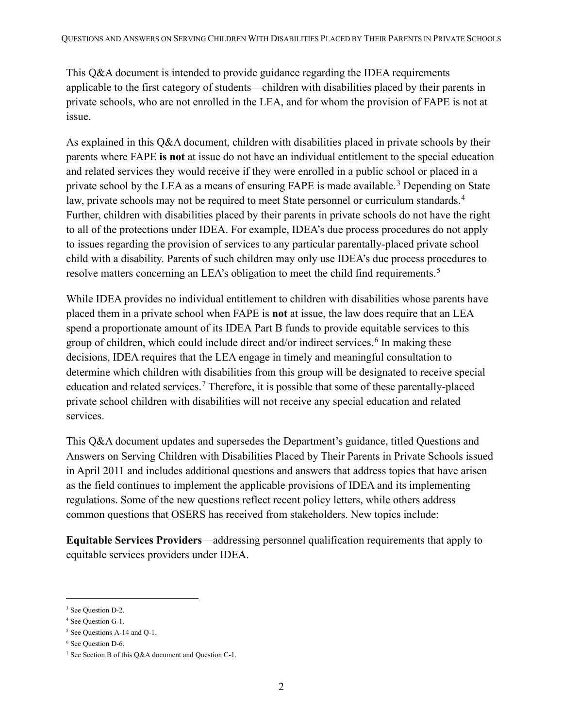This Q&A document is intended to provide guidance regarding the IDEA requirements applicable to the first category of students—children with disabilities placed by their parents in private schools, who are not enrolled in the LEA, and for whom the provision of FAPE is not at issue.

As explained in this Q&A document, children with disabilities placed in private schools by their parents where FAPE **is not** at issue do not have an individual entitlement to the special education and related services they would receive if they were enrolled in a public school or placed in a private school by the LEA as a means of ensuring FAPE is made available.<sup>[3](#page-1-0)</sup> Depending on State law, private schools may not be required to meet State personnel or curriculum standards.<sup>[4](#page-1-1)</sup> Further, children with disabilities placed by their parents in private schools do not have the right to all of the protections under IDEA. For example, IDEA's due process procedures do not apply to issues regarding the provision of services to any particular parentally-placed private school child with a disability. Parents of such children may only use IDEA's due process procedures to resolve matters concerning an LEA's obligation to meet the child find requirements.<sup>[5](#page-1-2)</sup>

While IDEA provides no individual entitlement to children with disabilities whose parents have placed them in a private school when FAPE is **not** at issue, the law does require that an LEA spend a proportionate amount of its IDEA Part B funds to provide equitable services to this group of children, which could include direct and/or indirect services.<sup>[6](#page-1-3)</sup> In making these decisions, IDEA requires that the LEA engage in timely and meaningful consultation to determine which children with disabilities from this group will be designated to receive special education and related services.<sup>[7](#page-1-4)</sup> Therefore, it is possible that some of these parentally-placed private school children with disabilities will not receive any special education and related services.

This Q&A document updates and supersedes the Department's guidance, titled Questions and Answers on Serving Children with Disabilities Placed by Their Parents in Private Schools issued in April 2011 and includes additional questions and answers that address topics that have arisen as the field continues to implement the applicable provisions of IDEA and its implementing regulations. Some of the new questions reflect recent policy letters, while others address common questions that OSERS has received from stakeholders. New topics include:

**Equitable Services Providers**—addressing personnel qualification requirements that apply to equitable services providers under IDEA.

<span id="page-1-0"></span><sup>&</sup>lt;sup>3</sup> See Question D-2.

<span id="page-1-1"></span><sup>4</sup> See Question G-1.

<span id="page-1-2"></span><sup>5</sup> See Questions A-14 and Q-1.

<span id="page-1-3"></span><sup>6</sup> See Question D-6.

<span id="page-1-4"></span><sup>7</sup> See Section B of this Q&A document and Question C-1.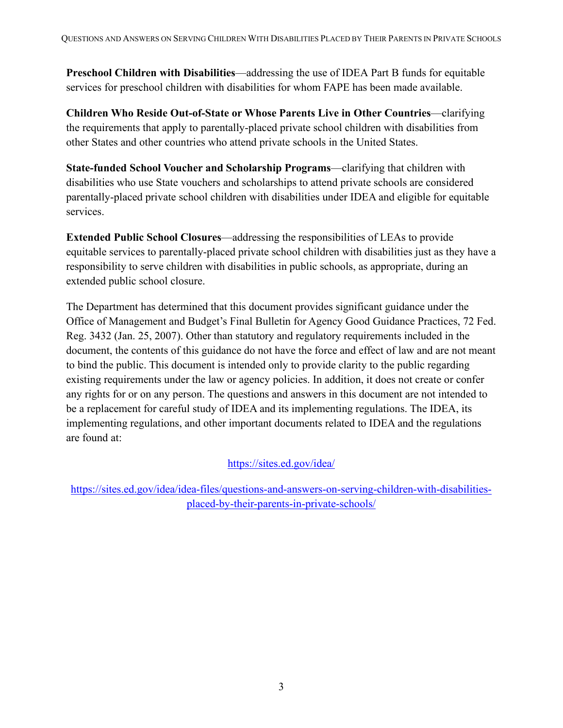**Preschool Children with Disabilities**—addressing the use of IDEA Part B funds for equitable services for preschool children with disabilities for whom FAPE has been made available.

**Children Who Reside Out-of-State or Whose Parents Live in Other Countries**—clarifying the requirements that apply to parentally-placed private school children with disabilities from other States and other countries who attend private schools in the United States.

**State-funded School Voucher and Scholarship Programs**—clarifying that children with disabilities who use State vouchers and scholarships to attend private schools are considered parentally-placed private school children with disabilities under IDEA and eligible for equitable services.

**Extended Public School Closures**—addressing the responsibilities of LEAs to provide equitable services to parentally-placed private school children with disabilities just as they have a responsibility to serve children with disabilities in public schools, as appropriate, during an extended public school closure.

The Department has determined that this document provides significant guidance under the Office of Management and Budget's Final Bulletin for Agency Good Guidance Practices, 72 Fed. Reg. 3432 (Jan. 25, 2007). Other than statutory and regulatory requirements included in the document, the contents of this guidance do not have the force and effect of law and are not meant to bind the public. This document is intended only to provide clarity to the public regarding existing requirements under the law or agency policies. In addition, it does not create or confer any rights for or on any person. The questions and answers in this document are not intended to be a replacement for careful study of IDEA and its implementing regulations. The IDEA, its implementing regulations, and other important documents related to IDEA and the regulations are found at:

#### <https://sites.ed.gov/idea/>

[https://sites.ed.gov/idea/idea-files/questions-and-answers-on-serving-children-with-disabilities](https://sites.ed.gov/idea/idea-files/questions-and-answers-on-serving-children-with-disabilities-placed-by-their-parents-in-private-schools/)[placed-by-their-parents-in-private-schools/](https://sites.ed.gov/idea/idea-files/questions-and-answers-on-serving-children-with-disabilities-placed-by-their-parents-in-private-schools/)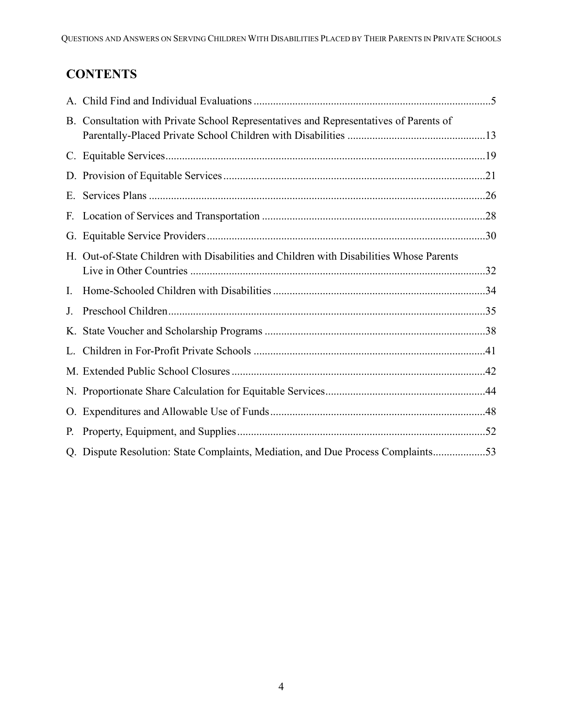# **CONTENTS**

|    | B. Consultation with Private School Representatives and Representatives of Parents of   |  |
|----|-----------------------------------------------------------------------------------------|--|
|    |                                                                                         |  |
|    |                                                                                         |  |
| Е. |                                                                                         |  |
|    |                                                                                         |  |
|    |                                                                                         |  |
|    | H. Out-of-State Children with Disabilities and Children with Disabilities Whose Parents |  |
| I. |                                                                                         |  |
| J. |                                                                                         |  |
|    |                                                                                         |  |
| L. |                                                                                         |  |
|    |                                                                                         |  |
|    |                                                                                         |  |
|    |                                                                                         |  |
| Р. |                                                                                         |  |
|    | Q. Dispute Resolution: State Complaints, Mediation, and Due Process Complaints53        |  |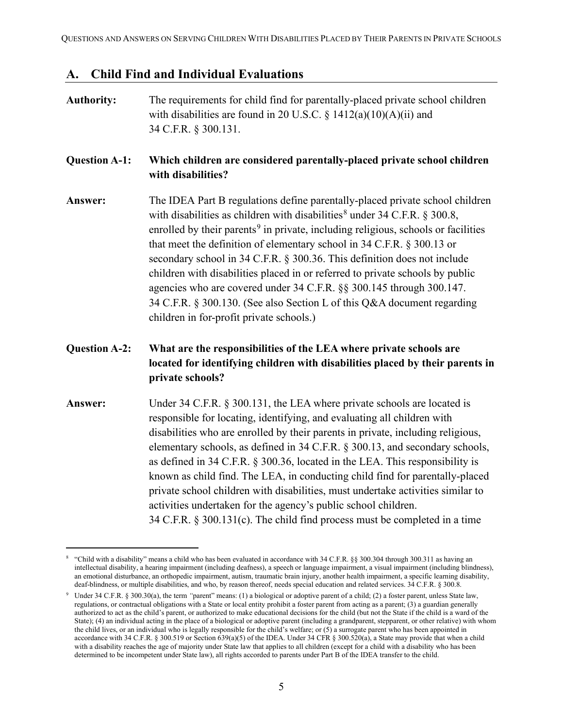### <span id="page-4-0"></span>**A. Child Find and Individual Evaluations**

| <b>Authority:</b>    | The requirements for child find for parentally-placed private school children<br>with disabilities are found in 20 U.S.C. § $1412(a)(10)(A)(ii)$ and<br>34 C.F.R. § 300.131.                                                                                                                                                                                                                                                                                                                                                                                                                                                                                                                                             |
|----------------------|--------------------------------------------------------------------------------------------------------------------------------------------------------------------------------------------------------------------------------------------------------------------------------------------------------------------------------------------------------------------------------------------------------------------------------------------------------------------------------------------------------------------------------------------------------------------------------------------------------------------------------------------------------------------------------------------------------------------------|
| <b>Question A-1:</b> | Which children are considered parentally-placed private school children<br>with disabilities?                                                                                                                                                                                                                                                                                                                                                                                                                                                                                                                                                                                                                            |
| Answer:              | The IDEA Part B regulations define parentally-placed private school children<br>with disabilities as children with disabilities <sup>8</sup> under 34 C.F.R. § 300.8,<br>enrolled by their parents <sup>9</sup> in private, including religious, schools or facilities<br>that meet the definition of elementary school in 34 C.F.R. § 300.13 or<br>secondary school in 34 C.F.R. § 300.36. This definition does not include<br>children with disabilities placed in or referred to private schools by public<br>agencies who are covered under 34 C.F.R. §§ 300.145 through 300.147.<br>34 C.F.R. § 300.130. (See also Section L of this Q&A document regarding<br>children in for-profit private schools.)             |
| <b>Question A-2:</b> | What are the responsibilities of the LEA where private schools are<br>located for identifying children with disabilities placed by their parents in<br>private schools?                                                                                                                                                                                                                                                                                                                                                                                                                                                                                                                                                  |
| Answer:              | Under 34 C.F.R. § 300.131, the LEA where private schools are located is<br>responsible for locating, identifying, and evaluating all children with<br>disabilities who are enrolled by their parents in private, including religious,<br>elementary schools, as defined in 34 C.F.R. § 300.13, and secondary schools,<br>as defined in 34 C.F.R. § 300.36, located in the LEA. This responsibility is<br>known as child find. The LEA, in conducting child find for parentally-placed<br>private school children with disabilities, must undertake activities similar to<br>activities undertaken for the agency's public school children.<br>34 C.F.R. § 300.131(c). The child find process must be completed in a time |

<span id="page-4-1"></span><sup>&</sup>lt;sup>8</sup> "Child with a disability" means a child who has been evaluated in accordance with 34 C.F.R. §§ 300.304 through 300.311 as having an intellectual disability, a hearing impairment (including deafness), a speech or language impairment, a visual impairment (including blindness), an emotional disturbance, an orthopedic impairment, autism, traumatic brain injury, another health impairment, a specific learning disability, deaf-blindness, or multiple disabilities, and who, by reason thereof, needs special education and related services. 34 C.F.R. § 300.8.

<span id="page-4-2"></span><sup>&</sup>lt;sup>9</sup> Under 34 C.F.R. § 300.30(a), the term "parent" means: (1) a biological or adoptive parent of a child; (2) a foster parent, unless State law, regulations, or contractual obligations with a State or local entity prohibit a foster parent from acting as a parent; (3) a guardian generally authorized to act as the child's parent, or authorized to make educational decisions for the child (but not the State if the child is a ward of the State); (4) an individual acting in the place of a biological or adoptive parent (including a grandparent, stepparent, or other relative) with whom the child lives, or an individual who is legally responsible for the child's welfare; or (5) a surrogate parent who has been appointed in accordance with 34 C.F.R. § 300.519 or Section 639(a)(5) of the IDEA. Under 34 CFR § 300.520(a), a State may provide that when a child with a disability reaches the age of majority under State law that applies to all children (except for a child with a disability who has been determined to be incompetent under State law), all rights accorded to parents under Part B of the IDEA transfer to the child.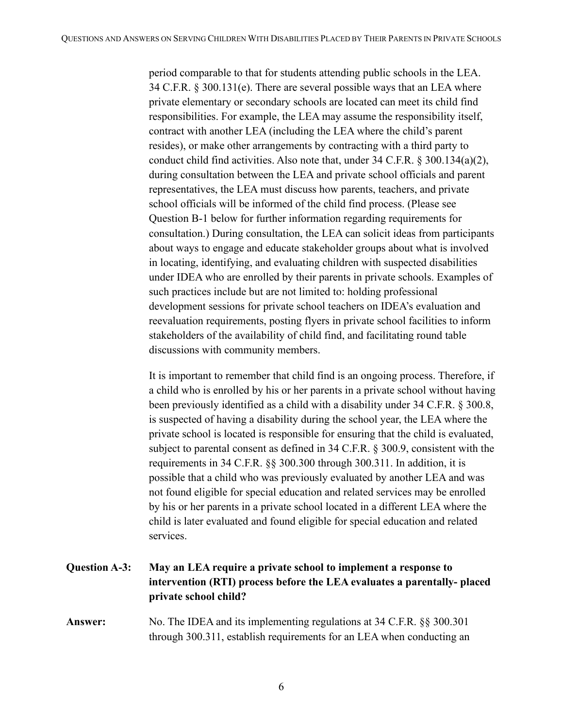period comparable to that for students attending public schools in the LEA. 34 C.F.R. § 300.131(e). There are several possible ways that an LEA where private elementary or secondary schools are located can meet its child find responsibilities. For example, the LEA may assume the responsibility itself, contract with another LEA (including the LEA where the child's parent resides), or make other arrangements by contracting with a third party to conduct child find activities. Also note that, under 34 C.F.R. § 300.134(a)(2), during consultation between the LEA and private school officials and parent representatives, the LEA must discuss how parents, teachers, and private school officials will be informed of the child find process. (Please see Question B-1 below for further information regarding requirements for consultation.) During consultation, the LEA can solicit ideas from participants about ways to engage and educate stakeholder groups about what is involved in locating, identifying, and evaluating children with suspected disabilities under IDEA who are enrolled by their parents in private schools. Examples of such practices include but are not limited to: holding professional development sessions for private school teachers on IDEA's evaluation and reevaluation requirements, posting flyers in private school facilities to inform stakeholders of the availability of child find, and facilitating round table discussions with community members.

It is important to remember that child find is an ongoing process. Therefore, if a child who is enrolled by his or her parents in a private school without having been previously identified as a child with a disability under 34 C.F.R. § 300.8, is suspected of having a disability during the school year, the LEA where the private school is located is responsible for ensuring that the child is evaluated, subject to parental consent as defined in 34 C.F.R. § 300.9, consistent with the requirements in 34 C.F.R. §§ 300.300 through 300.311. In addition, it is possible that a child who was previously evaluated by another LEA and was not found eligible for special education and related services may be enrolled by his or her parents in a private school located in a different LEA where the child is later evaluated and found eligible for special education and related services.

## **Question A-3: May an LEA require a private school to implement a response to intervention (RTI) process before the LEA evaluates a parentally- placed private school child?**

**Answer:** No. The IDEA and its implementing regulations at 34 C.F.R. §§ 300.301 through 300.311, establish requirements for an LEA when conducting an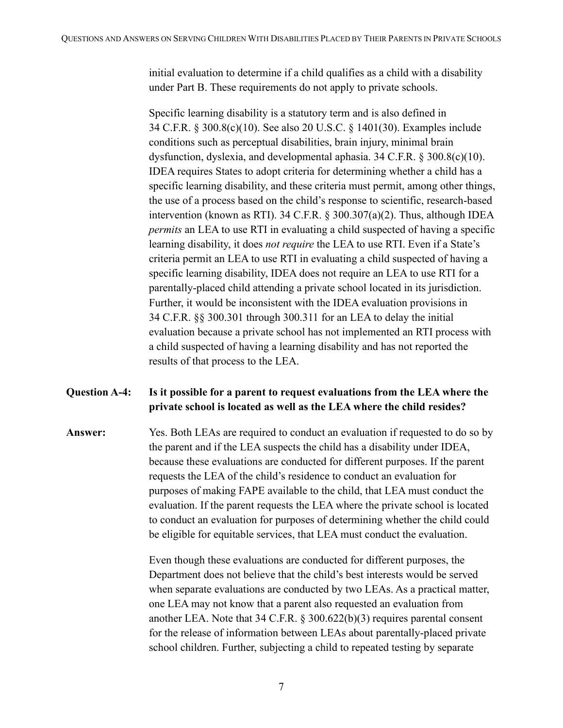initial evaluation to determine if a child qualifies as a child with a disability under Part B. These requirements do not apply to private schools.

Specific learning disability is a statutory term and is also defined in 34 C.F.R. § 300.8(c)(10). See also 20 U.S.C. § 1401(30). Examples include conditions such as perceptual disabilities, brain injury, minimal brain dysfunction, dyslexia, and developmental aphasia. 34 C.F.R. § 300.8(c)(10). IDEA requires States to adopt criteria for determining whether a child has a specific learning disability, and these criteria must permit, among other things, the use of a process based on the child's response to scientific, research-based intervention (known as RTI). 34 C.F.R. § 300.307(a)(2). Thus, although IDEA *permits* an LEA to use RTI in evaluating a child suspected of having a specific learning disability, it does *not require* the LEA to use RTI. Even if a State's criteria permit an LEA to use RTI in evaluating a child suspected of having a specific learning disability, IDEA does not require an LEA to use RTI for a parentally-placed child attending a private school located in its jurisdiction. Further, it would be inconsistent with the IDEA evaluation provisions in 34 C.F.R. §§ 300.301 through 300.311 for an LEA to delay the initial evaluation because a private school has not implemented an RTI process with a child suspected of having a learning disability and has not reported the results of that process to the LEA.

#### **Question A-4: Is it possible for a parent to request evaluations from the LEA where the private school is located as well as the LEA where the child resides?**

**Answer:** Yes. Both LEAs are required to conduct an evaluation if requested to do so by the parent and if the LEA suspects the child has a disability under IDEA, because these evaluations are conducted for different purposes. If the parent requests the LEA of the child's residence to conduct an evaluation for purposes of making FAPE available to the child, that LEA must conduct the evaluation. If the parent requests the LEA where the private school is located to conduct an evaluation for purposes of determining whether the child could be eligible for equitable services, that LEA must conduct the evaluation.

> Even though these evaluations are conducted for different purposes, the Department does not believe that the child's best interests would be served when separate evaluations are conducted by two LEAs. As a practical matter, one LEA may not know that a parent also requested an evaluation from another LEA. Note that 34 C.F.R. § 300.622(b)(3) requires parental consent for the release of information between LEAs about parentally-placed private school children. Further, subjecting a child to repeated testing by separate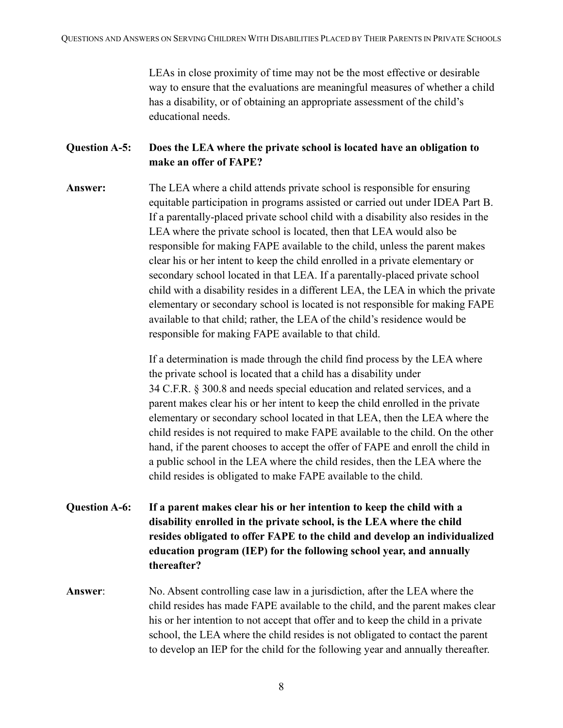LEAs in close proximity of time may not be the most effective or desirable way to ensure that the evaluations are meaningful measures of whether a child has a disability, or of obtaining an appropriate assessment of the child's educational needs.

#### **Question A-5: Does the LEA where the private school is located have an obligation to make an offer of FAPE?**

**Answer:** The LEA where a child attends private school is responsible for ensuring equitable participation in programs assisted or carried out under IDEA Part B. If a parentally-placed private school child with a disability also resides in the LEA where the private school is located, then that LEA would also be responsible for making FAPE available to the child, unless the parent makes clear his or her intent to keep the child enrolled in a private elementary or secondary school located in that LEA. If a parentally-placed private school child with a disability resides in a different LEA, the LEA in which the private elementary or secondary school is located is not responsible for making FAPE available to that child; rather, the LEA of the child's residence would be responsible for making FAPE available to that child.

> If a determination is made through the child find process by the LEA where the private school is located that a child has a disability under 34 C.F.R. § 300.8 and needs special education and related services, and a parent makes clear his or her intent to keep the child enrolled in the private elementary or secondary school located in that LEA, then the LEA where the child resides is not required to make FAPE available to the child. On the other hand, if the parent chooses to accept the offer of FAPE and enroll the child in a public school in the LEA where the child resides, then the LEA where the child resides is obligated to make FAPE available to the child.

- **Question A-6: If a parent makes clear his or her intention to keep the child with a disability enrolled in the private school, is the LEA where the child resides obligated to offer FAPE to the child and develop an individualized education program (IEP) for the following school year, and annually thereafter?**
- **Answer**: No. Absent controlling case law in a jurisdiction, after the LEA where the child resides has made FAPE available to the child, and the parent makes clear his or her intention to not accept that offer and to keep the child in a private school, the LEA where the child resides is not obligated to contact the parent to develop an IEP for the child for the following year and annually thereafter.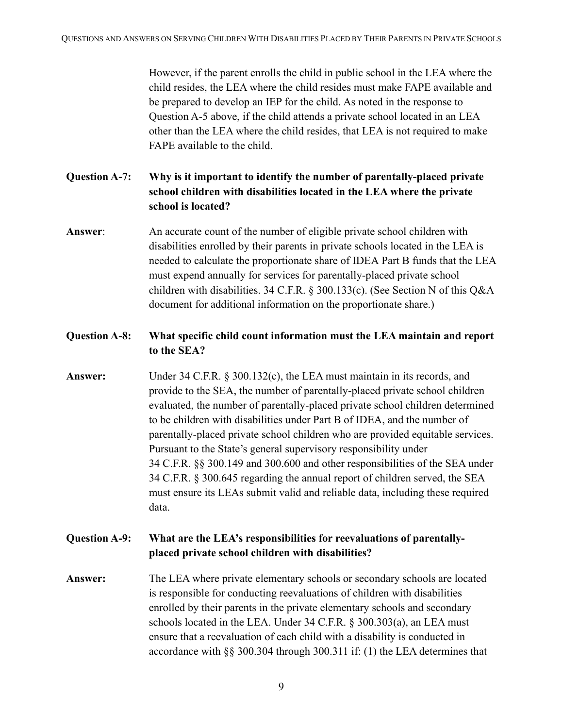However, if the parent enrolls the child in public school in the LEA where the child resides, the LEA where the child resides must make FAPE available and be prepared to develop an IEP for the child. As noted in the response to Question A-5 above, if the child attends a private school located in an LEA other than the LEA where the child resides, that LEA is not required to make FAPE available to the child.

**Question A-7: Why is it important to identify the number of parentally-placed private school children with disabilities located in the LEA where the private school is located?**

**Answer**: An accurate count of the number of eligible private school children with disabilities enrolled by their parents in private schools located in the LEA is needed to calculate the proportionate share of IDEA Part B funds that the LEA must expend annually for services for parentally-placed private school children with disabilities. 34 C.F.R. § 300.133(c). (See Section N of this Q&A document for additional information on the proportionate share.)

#### **Question A-8: What specific child count information must the LEA maintain and report to the SEA?**

**Answer:** Under 34 C.F.R. § 300.132(c), the LEA must maintain in its records, and provide to the SEA, the number of parentally-placed private school children evaluated, the number of parentally-placed private school children determined to be children with disabilities under Part B of IDEA, and the number of parentally-placed private school children who are provided equitable services. Pursuant to the State's general supervisory responsibility under 34 C.F.R. §§ 300.149 and 300.600 and other responsibilities of the SEA under 34 C.F.R. § 300.645 regarding the annual report of children served, the SEA must ensure its LEAs submit valid and reliable data, including these required data.

#### **Question A-9: What are the LEA's responsibilities for reevaluations of parentallyplaced private school children with disabilities?**

**Answer:** The LEA where private elementary schools or secondary schools are located is responsible for conducting reevaluations of children with disabilities enrolled by their parents in the private elementary schools and secondary schools located in the LEA. Under 34 C.F.R. § 300.303(a), an LEA must ensure that a reevaluation of each child with a disability is conducted in accordance with §§ 300.304 through 300.311 if: (1) the LEA determines that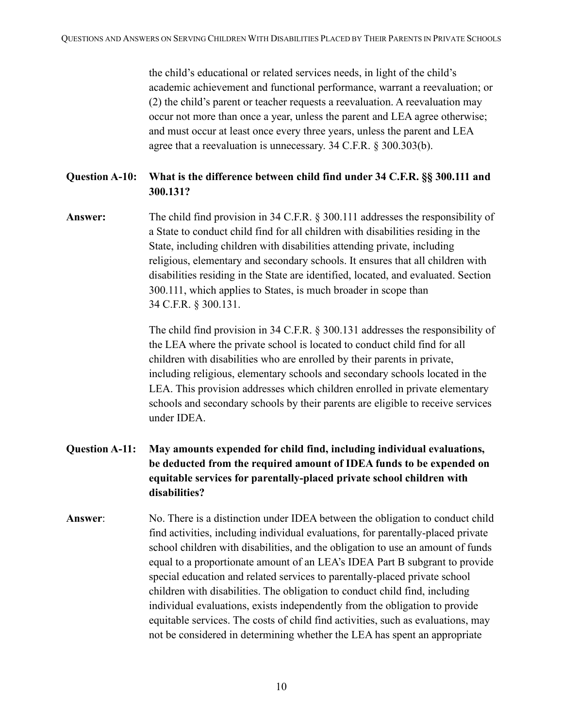the child's educational or related services needs, in light of the child's academic achievement and functional performance, warrant a reevaluation; or (2) the child's parent or teacher requests a reevaluation. A reevaluation may occur not more than once a year, unless the parent and LEA agree otherwise; and must occur at least once every three years, unless the parent and LEA agree that a reevaluation is unnecessary. 34 C.F.R. § 300.303(b).

#### **Question A-10: What is the difference between child find under 34 C.F.R. §§ 300.111 and 300.131?**

**Answer:** The child find provision in 34 C.F.R. § 300.111 addresses the responsibility of a State to conduct child find for all children with disabilities residing in the State, including children with disabilities attending private, including religious, elementary and secondary schools. It ensures that all children with disabilities residing in the State are identified, located, and evaluated. Section 300.111, which applies to States, is much broader in scope than 34 C.F.R. § 300.131.

> The child find provision in 34 C.F.R. § 300.131 addresses the responsibility of the LEA where the private school is located to conduct child find for all children with disabilities who are enrolled by their parents in private, including religious, elementary schools and secondary schools located in the LEA. This provision addresses which children enrolled in private elementary schools and secondary schools by their parents are eligible to receive services under IDEA.

- **Question A-11: May amounts expended for child find, including individual evaluations, be deducted from the required amount of IDEA funds to be expended on equitable services for parentally-placed private school children with disabilities?**
- **Answer**: No. There is a distinction under IDEA between the obligation to conduct child find activities, including individual evaluations, for parentally-placed private school children with disabilities, and the obligation to use an amount of funds equal to a proportionate amount of an LEA's IDEA Part B subgrant to provide special education and related services to parentally-placed private school children with disabilities. The obligation to conduct child find, including individual evaluations, exists independently from the obligation to provide equitable services. The costs of child find activities, such as evaluations, may not be considered in determining whether the LEA has spent an appropriate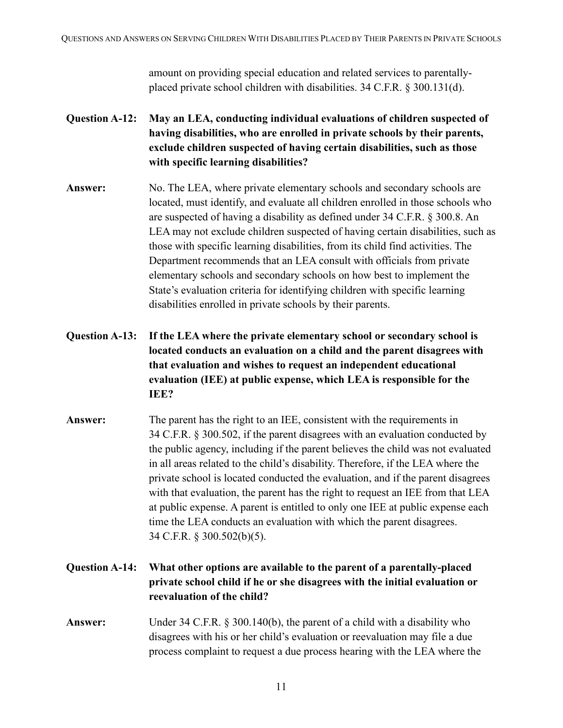amount on providing special education and related services to parentallyplaced private school children with disabilities. 34 C.F.R. § 300.131(d).

- **Question A-12: May an LEA, conducting individual evaluations of children suspected of having disabilities, who are enrolled in private schools by their parents, exclude children suspected of having certain disabilities, such as those with specific learning disabilities?**
- Answer: No. The LEA, where private elementary schools and secondary schools are located, must identify, and evaluate all children enrolled in those schools who are suspected of having a disability as defined under 34 C.F.R. § 300.8. An LEA may not exclude children suspected of having certain disabilities, such as those with specific learning disabilities, from its child find activities. The Department recommends that an LEA consult with officials from private elementary schools and secondary schools on how best to implement the State's evaluation criteria for identifying children with specific learning disabilities enrolled in private schools by their parents.
- **Question A-13: If the LEA where the private elementary school or secondary school is located conducts an evaluation on a child and the parent disagrees with that evaluation and wishes to request an independent educational evaluation (IEE) at public expense, which LEA is responsible for the IEE?**
- **Answer:** The parent has the right to an IEE, consistent with the requirements in 34 C.F.R. § 300.502, if the parent disagrees with an evaluation conducted by the public agency, including if the parent believes the child was not evaluated in all areas related to the child's disability. Therefore, if the LEA where the private school is located conducted the evaluation, and if the parent disagrees with that evaluation, the parent has the right to request an IEE from that LEA at public expense. A parent is entitled to only one IEE at public expense each time the LEA conducts an evaluation with which the parent disagrees. 34 C.F.R. § 300.502(b)(5).
- **Question A-14: What other options are available to the parent of a parentally-placed private school child if he or she disagrees with the initial evaluation or reevaluation of the child?**
- **Answer:** Under 34 C.F.R. § 300.140(b), the parent of a child with a disability who disagrees with his or her child's evaluation or reevaluation may file a due process complaint to request a due process hearing with the LEA where the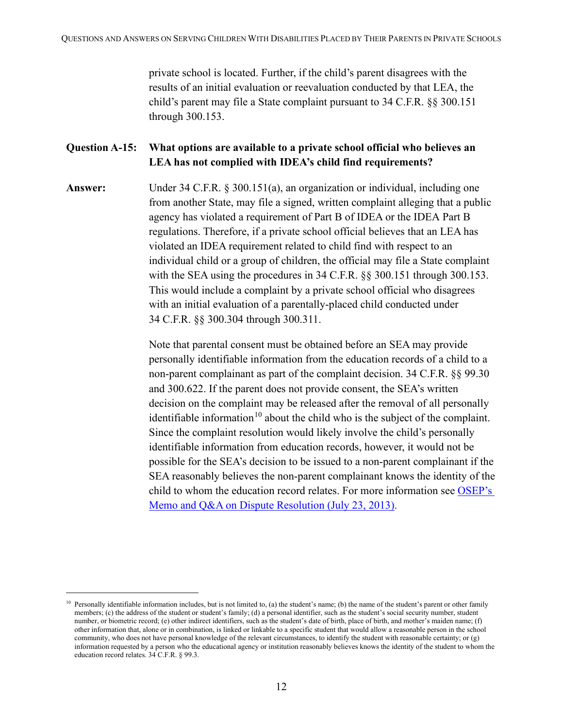private school is located. Further, if the child's parent disagrees with the results of an initial evaluation or reevaluation conducted by that LEA, the child's parent may file a State complaint pursuant to 34 C.F.R. §§ 300.151 through 300.153.

#### **Question A-15: What options are available to a private school official who believes an LEA has not complied with IDEA's child find requirements?**

**Answer:** Under 34 C.F.R. § 300.151(a), an organization or individual, including one from another State, may file a signed, written complaint alleging that a public agency has violated a requirement of Part B of IDEA or the IDEA Part B regulations. Therefore, if a private school official believes that an LEA has violated an IDEA requirement related to child find with respect to an individual child or a group of children, the official may file a State complaint with the SEA using the procedures in 34 C.F.R.  $\S$  300.151 through 300.153. This would include a complaint by a private school official who disagrees with an initial evaluation of a parentally-placed child conducted under 34 C.F.R. §§ 300.304 through 300.311.

> Note that parental consent must be obtained before an SEA may provide personally identifiable information from the education records of a child to a non-parent complainant as part of the complaint decision. 34 C.F.R. §§ 99.30 and 300.622. If the parent does not provide consent, the SEA's written decision on the complaint may be released after the removal of all personally identifiable information<sup>[10](#page-11-0)</sup> about the child who is the subject of the complaint. Since the complaint resolution would likely involve the child's personally identifiable information from education records, however, it would not be possible for the SEA's decision to be issued to a non-parent complainant if the SEA reasonably believes the non-parent complainant knows the identity of the child to whom the education record relates. For more information see [OSEP's](https://sites.ed.gov/idea/idea-files/osep-memo-and-qa-on-dispute-resolution/)  [Memo and Q&A on Dispute Resolution \(July 23, 2013\).](https://sites.ed.gov/idea/idea-files/osep-memo-and-qa-on-dispute-resolution/)

<span id="page-11-0"></span><sup>&</sup>lt;sup>10</sup> Personally identifiable information includes, but is not limited to, (a) the student's name; (b) the name of the student's parent or other family members; (c) the address of the student or student's family; (d) a personal identifier, such as the student's social security number, student number, or biometric record; (e) other indirect identifiers, such as the student's date of birth, place of birth, and mother's maiden name; (f) other information that, alone or in combination, is linked or linkable to a specific student that would allow a reasonable person in the school community, who does not have personal knowledge of the relevant circumstances, to identify the student with reasonable certainty; or (g) information requested by a person who the educational agency or institution reasonably believes knows the identity of the student to whom the education record relates. 34 C.F.R. § 99.3.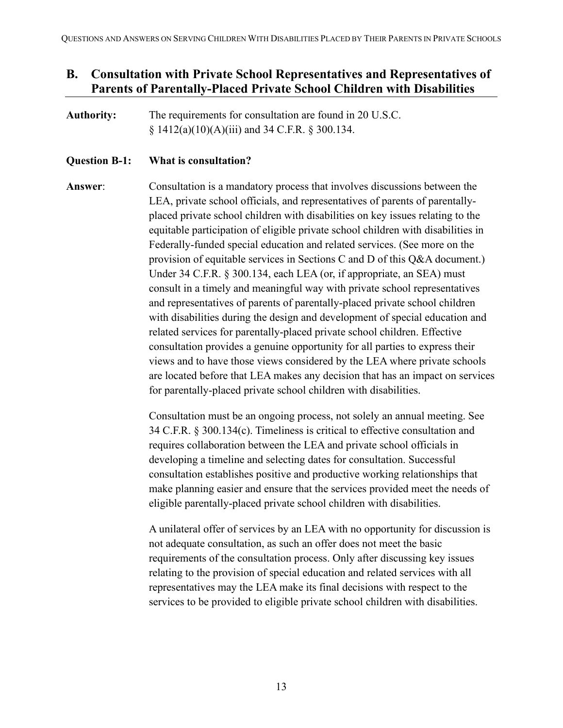## <span id="page-12-0"></span>**B. Consultation with Private School Representatives and Representatives of Parents of Parentally-Placed Private School Children with Disabilities**

**Authority:** The requirements for consultation are found in 20 U.S.C. § 1412(a)(10)(A)(iii) and 34 C.F.R. § 300.134.

#### **Question B-1: What is consultation?**

**Answer**: Consultation is a mandatory process that involves discussions between the LEA, private school officials, and representatives of parents of parentallyplaced private school children with disabilities on key issues relating to the equitable participation of eligible private school children with disabilities in Federally-funded special education and related services. (See more on the provision of equitable services in Sections C and D of this Q&A document.) Under 34 C.F.R. § 300.134, each LEA (or, if appropriate, an SEA) must consult in a timely and meaningful way with private school representatives and representatives of parents of parentally-placed private school children with disabilities during the design and development of special education and related services for parentally-placed private school children. Effective consultation provides a genuine opportunity for all parties to express their views and to have those views considered by the LEA where private schools are located before that LEA makes any decision that has an impact on services for parentally-placed private school children with disabilities.

> Consultation must be an ongoing process, not solely an annual meeting. See 34 C.F.R. § 300.134(c). Timeliness is critical to effective consultation and requires collaboration between the LEA and private school officials in developing a timeline and selecting dates for consultation. Successful consultation establishes positive and productive working relationships that make planning easier and ensure that the services provided meet the needs of eligible parentally-placed private school children with disabilities.

> A unilateral offer of services by an LEA with no opportunity for discussion is not adequate consultation, as such an offer does not meet the basic requirements of the consultation process. Only after discussing key issues relating to the provision of special education and related services with all representatives may the LEA make its final decisions with respect to the services to be provided to eligible private school children with disabilities.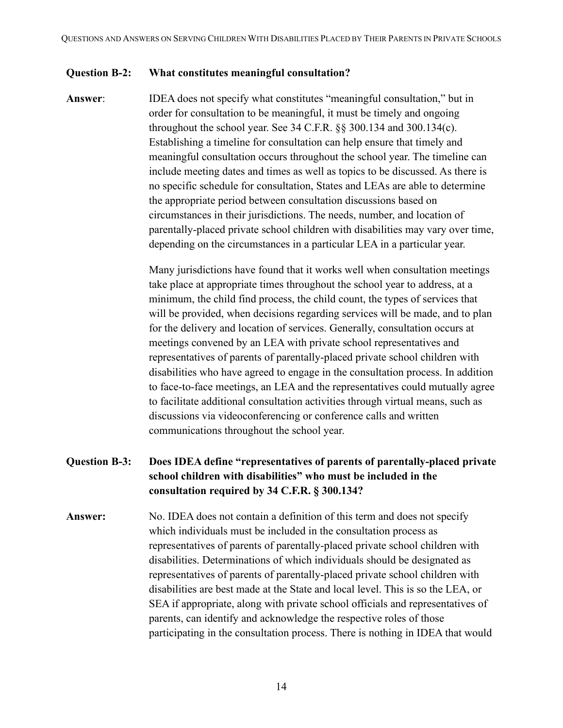#### **Question B-2: What constitutes meaningful consultation?**

**Answer**: IDEA does not specify what constitutes "meaningful consultation," but in order for consultation to be meaningful, it must be timely and ongoing throughout the school year. See 34 C.F.R. §§ 300.134 and 300.134(c). Establishing a timeline for consultation can help ensure that timely and meaningful consultation occurs throughout the school year. The timeline can include meeting dates and times as well as topics to be discussed. As there is no specific schedule for consultation, States and LEAs are able to determine the appropriate period between consultation discussions based on circumstances in their jurisdictions. The needs, number, and location of parentally-placed private school children with disabilities may vary over time, depending on the circumstances in a particular LEA in a particular year.

> Many jurisdictions have found that it works well when consultation meetings take place at appropriate times throughout the school year to address, at a minimum, the child find process, the child count, the types of services that will be provided, when decisions regarding services will be made, and to plan for the delivery and location of services. Generally, consultation occurs at meetings convened by an LEA with private school representatives and representatives of parents of parentally-placed private school children with disabilities who have agreed to engage in the consultation process. In addition to face-to-face meetings, an LEA and the representatives could mutually agree to facilitate additional consultation activities through virtual means, such as discussions via videoconferencing or conference calls and written communications throughout the school year.

#### **Question B-3: Does IDEA define "representatives of parents of parentally-placed private school children with disabilities" who must be included in the consultation required by 34 C.F.R. § 300.134?**

**Answer:** No. IDEA does not contain a definition of this term and does not specify which individuals must be included in the consultation process as representatives of parents of parentally-placed private school children with disabilities. Determinations of which individuals should be designated as representatives of parents of parentally-placed private school children with disabilities are best made at the State and local level. This is so the LEA, or SEA if appropriate, along with private school officials and representatives of parents, can identify and acknowledge the respective roles of those participating in the consultation process. There is nothing in IDEA that would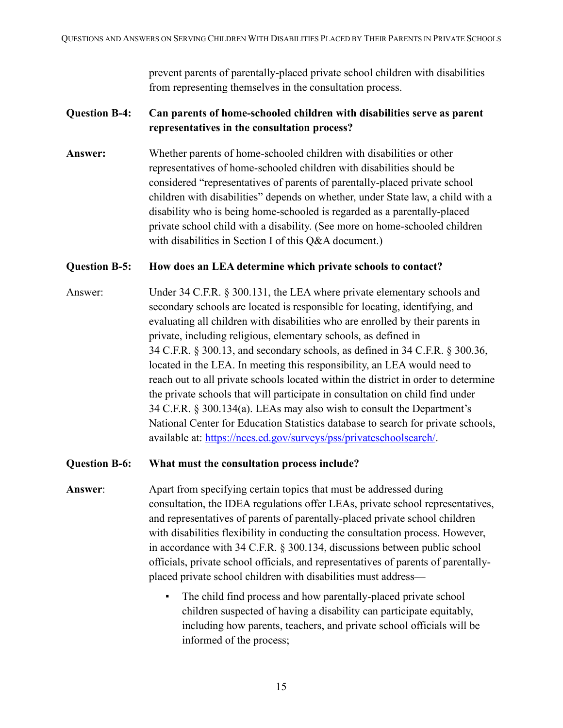prevent parents of parentally-placed private school children with disabilities from representing themselves in the consultation process.

#### **Question B-4: Can parents of home-schooled children with disabilities serve as parent representatives in the consultation process?**

**Answer:** Whether parents of home-schooled children with disabilities or other representatives of home-schooled children with disabilities should be considered "representatives of parents of parentally-placed private school children with disabilities" depends on whether, under State law, a child with a disability who is being home-schooled is regarded as a parentally-placed private school child with a disability. (See more on home-schooled children with disabilities in Section I of this Q&A document.)

#### **Question B-5: How does an LEA determine which private schools to contact?**

Answer: Under 34 C.F.R. § 300.131, the LEA where private elementary schools and secondary schools are located is responsible for locating, identifying, and evaluating all children with disabilities who are enrolled by their parents in private, including religious, elementary schools, as defined in 34 C.F.R. § 300.13, and secondary schools, as defined in 34 C.F.R. § 300.36, located in the LEA. In meeting this responsibility, an LEA would need to reach out to all private schools located within the district in order to determine the private schools that will participate in consultation on child find under 34 C.F.R. § 300.134(a). LEAs may also wish to consult the Department's National Center for Education Statistics database to search for private schools, available at: [https://nces.ed.gov/surveys/pss/privateschoolsearch/.](https://nces.ed.gov/surveys/pss/privateschoolsearch/)

#### **Question B-6: What must the consultation process include?**

- **Answer**: Apart from specifying certain topics that must be addressed during consultation, the IDEA regulations offer LEAs, private school representatives, and representatives of parents of parentally-placed private school children with disabilities flexibility in conducting the consultation process. However, in accordance with 34 C.F.R. § 300.134, discussions between public school officials, private school officials, and representatives of parents of parentallyplaced private school children with disabilities must address—
	- The child find process and how parentally-placed private school children suspected of having a disability can participate equitably, including how parents, teachers, and private school officials will be informed of the process;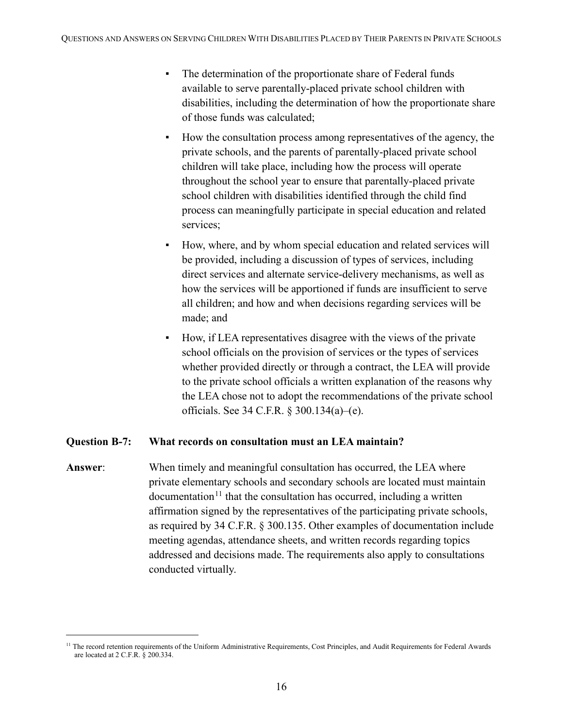- The determination of the proportionate share of Federal funds available to serve parentally-placed private school children with disabilities, including the determination of how the proportionate share of those funds was calculated;
- How the consultation process among representatives of the agency, the private schools, and the parents of parentally-placed private school children will take place, including how the process will operate throughout the school year to ensure that parentally-placed private school children with disabilities identified through the child find process can meaningfully participate in special education and related services;
- How, where, and by whom special education and related services will be provided, including a discussion of types of services, including direct services and alternate service-delivery mechanisms, as well as how the services will be apportioned if funds are insufficient to serve all children; and how and when decisions regarding services will be made; and
- How, if LEA representatives disagree with the views of the private school officials on the provision of services or the types of services whether provided directly or through a contract, the LEA will provide to the private school officials a written explanation of the reasons why the LEA chose not to adopt the recommendations of the private school officials. See 34 C.F.R. § 300.134(a)–(e).

#### **Question B-7: What records on consultation must an LEA maintain?**

**Answer**: When timely and meaningful consultation has occurred, the LEA where private elementary schools and secondary schools are located must maintain  $\alpha$  documentation<sup>[11](#page-15-0)</sup> that the consultation has occurred, including a written affirmation signed by the representatives of the participating private schools, as required by 34 C.F.R. § 300.135. Other examples of documentation include meeting agendas, attendance sheets, and written records regarding topics addressed and decisions made. The requirements also apply to consultations conducted virtually.

<span id="page-15-0"></span><sup>&</sup>lt;sup>11</sup> The record retention requirements of the Uniform Administrative Requirements, Cost Principles, and Audit Requirements for Federal Awards are located at 2 C.F.R. § 200.334.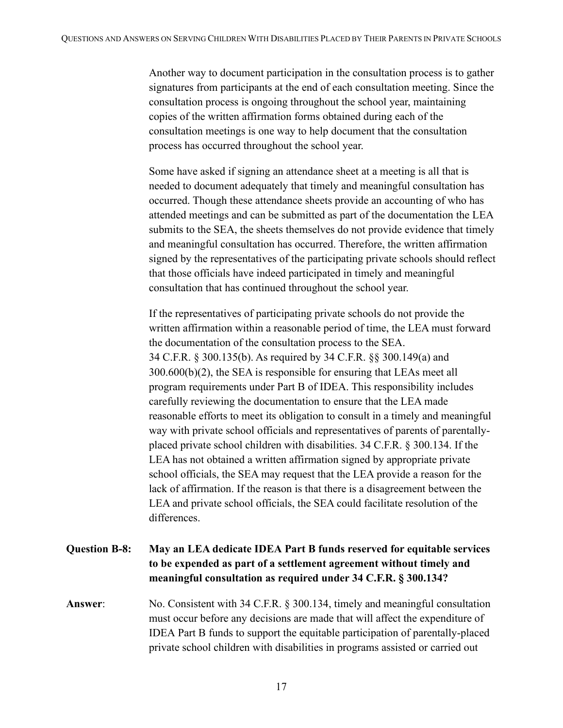Another way to document participation in the consultation process is to gather signatures from participants at the end of each consultation meeting. Since the consultation process is ongoing throughout the school year, maintaining copies of the written affirmation forms obtained during each of the consultation meetings is one way to help document that the consultation process has occurred throughout the school year.

Some have asked if signing an attendance sheet at a meeting is all that is needed to document adequately that timely and meaningful consultation has occurred. Though these attendance sheets provide an accounting of who has attended meetings and can be submitted as part of the documentation the LEA submits to the SEA, the sheets themselves do not provide evidence that timely and meaningful consultation has occurred. Therefore, the written affirmation signed by the representatives of the participating private schools should reflect that those officials have indeed participated in timely and meaningful consultation that has continued throughout the school year.

If the representatives of participating private schools do not provide the written affirmation within a reasonable period of time, the LEA must forward the documentation of the consultation process to the SEA. 34 C.F.R. § 300.135(b). As required by 34 C.F.R. §§ 300.149(a) and 300.600(b)(2), the SEA is responsible for ensuring that LEAs meet all program requirements under Part B of IDEA. This responsibility includes carefully reviewing the documentation to ensure that the LEA made reasonable efforts to meet its obligation to consult in a timely and meaningful way with private school officials and representatives of parents of parentallyplaced private school children with disabilities. 34 C.F.R. § 300.134. If the LEA has not obtained a written affirmation signed by appropriate private school officials, the SEA may request that the LEA provide a reason for the lack of affirmation. If the reason is that there is a disagreement between the LEA and private school officials, the SEA could facilitate resolution of the differences.

## **Question B-8: May an LEA dedicate IDEA Part B funds reserved for equitable services to be expended as part of a settlement agreement without timely and meaningful consultation as required under 34 C.F.R. § 300.134?**

**Answer**: No. Consistent with 34 C.F.R. § 300.134, timely and meaningful consultation must occur before any decisions are made that will affect the expenditure of IDEA Part B funds to support the equitable participation of parentally-placed private school children with disabilities in programs assisted or carried out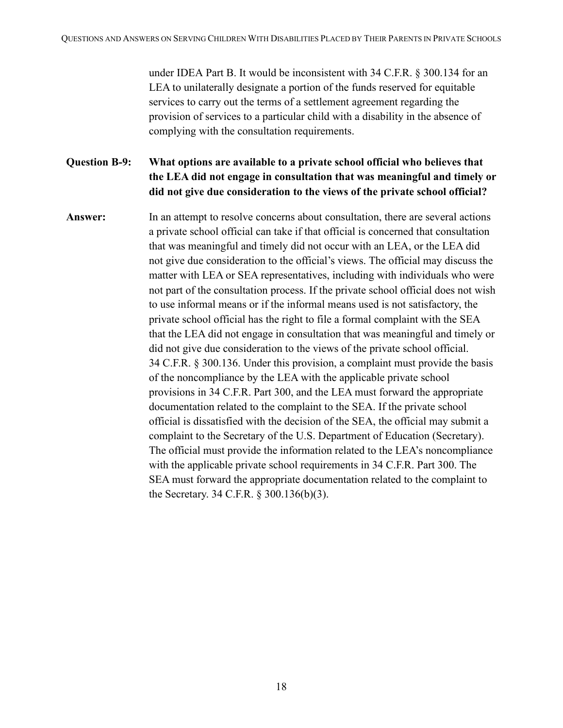under IDEA Part B. It would be inconsistent with 34 C.F.R. § 300.134 for an LEA to unilaterally designate a portion of the funds reserved for equitable services to carry out the terms of a settlement agreement regarding the provision of services to a particular child with a disability in the absence of complying with the consultation requirements.

**Question B-9: What options are available to a private school official who believes that the LEA did not engage in consultation that was meaningful and timely or did not give due consideration to the views of the private school official?**

Answer: In an attempt to resolve concerns about consultation, there are several actions a private school official can take if that official is concerned that consultation that was meaningful and timely did not occur with an LEA, or the LEA did not give due consideration to the official's views. The official may discuss the matter with LEA or SEA representatives, including with individuals who were not part of the consultation process. If the private school official does not wish to use informal means or if the informal means used is not satisfactory, the private school official has the right to file a formal complaint with the SEA that the LEA did not engage in consultation that was meaningful and timely or did not give due consideration to the views of the private school official. 34 C.F.R. § 300.136. Under this provision, a complaint must provide the basis of the noncompliance by the LEA with the applicable private school provisions in 34 C.F.R. Part 300, and the LEA must forward the appropriate documentation related to the complaint to the SEA. If the private school official is dissatisfied with the decision of the SEA, the official may submit a complaint to the Secretary of the U.S. Department of Education (Secretary). The official must provide the information related to the LEA's noncompliance with the applicable private school requirements in 34 C.F.R. Part 300. The SEA must forward the appropriate documentation related to the complaint to the Secretary. 34 C.F.R. § 300.136(b)(3).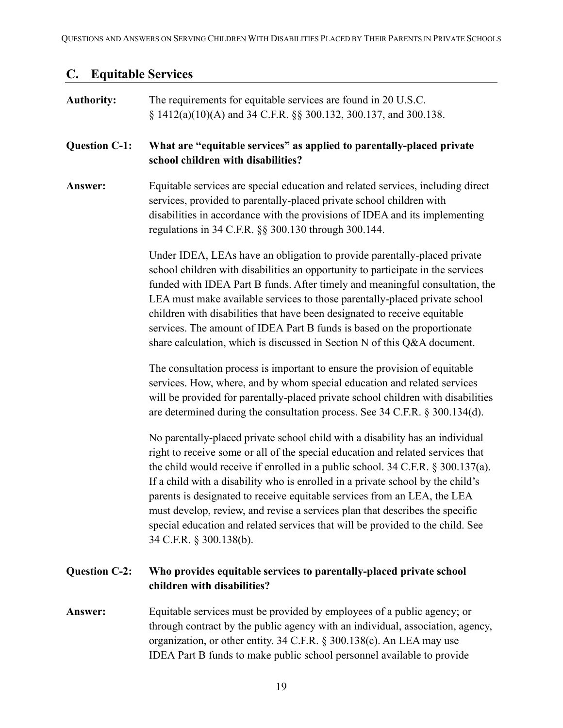# <span id="page-18-0"></span>**C. Equitable Services**

| <b>Authority:</b>    | The requirements for equitable services are found in 20 U.S.C.<br>§ 1412(a)(10)(A) and 34 C.F.R. §§ 300.132, 300.137, and 300.138.                                                                                                                                                                                                                                                                                                                                                                                                                                                                                    |
|----------------------|-----------------------------------------------------------------------------------------------------------------------------------------------------------------------------------------------------------------------------------------------------------------------------------------------------------------------------------------------------------------------------------------------------------------------------------------------------------------------------------------------------------------------------------------------------------------------------------------------------------------------|
| <b>Question C-1:</b> | What are "equitable services" as applied to parentally-placed private<br>school children with disabilities?                                                                                                                                                                                                                                                                                                                                                                                                                                                                                                           |
| Answer:              | Equitable services are special education and related services, including direct<br>services, provided to parentally-placed private school children with<br>disabilities in accordance with the provisions of IDEA and its implementing<br>regulations in 34 C.F.R. §§ 300.130 through 300.144.                                                                                                                                                                                                                                                                                                                        |
|                      | Under IDEA, LEAs have an obligation to provide parentally-placed private<br>school children with disabilities an opportunity to participate in the services<br>funded with IDEA Part B funds. After timely and meaningful consultation, the<br>LEA must make available services to those parentally-placed private school<br>children with disabilities that have been designated to receive equitable<br>services. The amount of IDEA Part B funds is based on the proportionate<br>share calculation, which is discussed in Section N of this Q&A document.                                                         |
|                      | The consultation process is important to ensure the provision of equitable<br>services. How, where, and by whom special education and related services<br>will be provided for parentally-placed private school children with disabilities<br>are determined during the consultation process. See 34 C.F.R. § 300.134(d).                                                                                                                                                                                                                                                                                             |
|                      | No parentally-placed private school child with a disability has an individual<br>right to receive some or all of the special education and related services that<br>the child would receive if enrolled in a public school. $34$ C.F.R. $\S 300.137(a)$ .<br>If a child with a disability who is enrolled in a private school by the child's<br>parents is designated to receive equitable services from an LEA, the LEA<br>must develop, review, and revise a services plan that describes the specific<br>special education and related services that will be provided to the child. See<br>34 C.F.R. § 300.138(b). |
| <b>Question C-2:</b> | Who provides equitable services to parentally-placed private school<br>children with disabilities?                                                                                                                                                                                                                                                                                                                                                                                                                                                                                                                    |
| Answer:              | Equitable services must be provided by employees of a public agency; or<br>through contract by the public agency with an individual, association, agency,<br>organization, or other entity. 34 C.F.R. § 300.138(c). An LEA may use<br>IDEA Part B funds to make public school personnel available to provide                                                                                                                                                                                                                                                                                                          |
|                      |                                                                                                                                                                                                                                                                                                                                                                                                                                                                                                                                                                                                                       |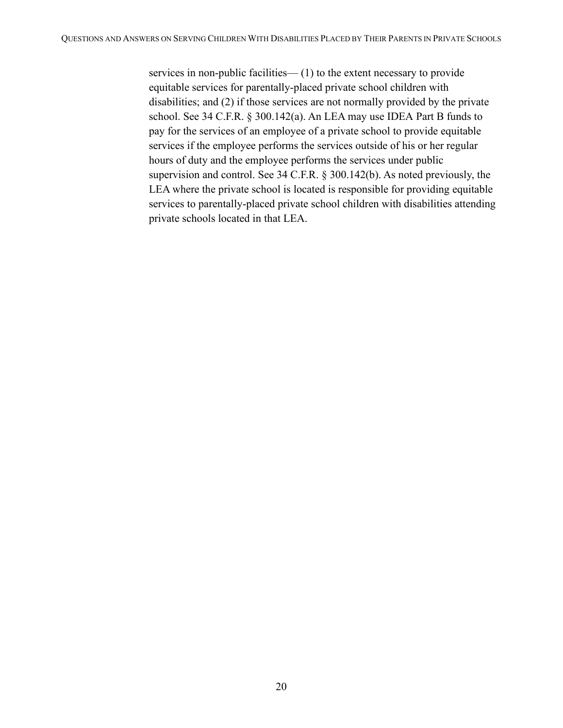services in non-public facilities— (1) to the extent necessary to provide equitable services for parentally-placed private school children with disabilities; and (2) if those services are not normally provided by the private school. See 34 C.F.R. § 300.142(a). An LEA may use IDEA Part B funds to pay for the services of an employee of a private school to provide equitable services if the employee performs the services outside of his or her regular hours of duty and the employee performs the services under public supervision and control. See 34 C.F.R. § 300.142(b). As noted previously, the LEA where the private school is located is responsible for providing equitable services to parentally-placed private school children with disabilities attending private schools located in that LEA.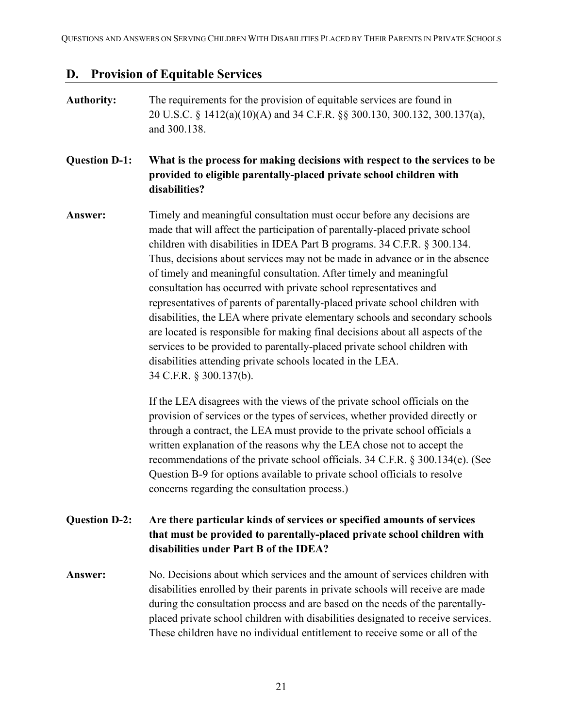# <span id="page-20-0"></span>**D. Provision of Equitable Services**

| <b>Authority:</b>    | The requirements for the provision of equitable services are found in<br>20 U.S.C. § 1412(a)(10)(A) and 34 C.F.R. §§ 300.130, 300.132, 300.137(a),<br>and 300.138.                                                                                                                                                                                                                                                                                                                                                                                                                                                                                                                                                                                                                                                                                                                  |
|----------------------|-------------------------------------------------------------------------------------------------------------------------------------------------------------------------------------------------------------------------------------------------------------------------------------------------------------------------------------------------------------------------------------------------------------------------------------------------------------------------------------------------------------------------------------------------------------------------------------------------------------------------------------------------------------------------------------------------------------------------------------------------------------------------------------------------------------------------------------------------------------------------------------|
| <b>Question D-1:</b> | What is the process for making decisions with respect to the services to be<br>provided to eligible parentally-placed private school children with<br>disabilities?                                                                                                                                                                                                                                                                                                                                                                                                                                                                                                                                                                                                                                                                                                                 |
| Answer:              | Timely and meaningful consultation must occur before any decisions are<br>made that will affect the participation of parentally-placed private school<br>children with disabilities in IDEA Part B programs. 34 C.F.R. § 300.134.<br>Thus, decisions about services may not be made in advance or in the absence<br>of timely and meaningful consultation. After timely and meaningful<br>consultation has occurred with private school representatives and<br>representatives of parents of parentally-placed private school children with<br>disabilities, the LEA where private elementary schools and secondary schools<br>are located is responsible for making final decisions about all aspects of the<br>services to be provided to parentally-placed private school children with<br>disabilities attending private schools located in the LEA.<br>34 C.F.R. § 300.137(b). |
|                      | If the LEA disagrees with the views of the private school officials on the<br>provision of services or the types of services, whether provided directly or<br>through a contract, the LEA must provide to the private school officials a<br>written explanation of the reasons why the LEA chose not to accept the<br>recommendations of the private school officials. 34 C.F.R. § 300.134(e). (See<br>Question B-9 for options available to private school officials to resolve<br>concerns regarding the consultation process.)                                                                                                                                                                                                                                                                                                                                                   |
| <b>Question D-2:</b> | Are there particular kinds of services or specified amounts of services<br>that must be provided to parentally-placed private school children with<br>disabilities under Part B of the IDEA?                                                                                                                                                                                                                                                                                                                                                                                                                                                                                                                                                                                                                                                                                        |
| Answer:              | No. Decisions about which services and the amount of services children with<br>disabilities enrolled by their parents in private schools will receive are made<br>during the consultation process and are based on the needs of the parentally-<br>placed private school children with disabilities designated to receive services.                                                                                                                                                                                                                                                                                                                                                                                                                                                                                                                                                 |

These children have no individual entitlement to receive some or all of the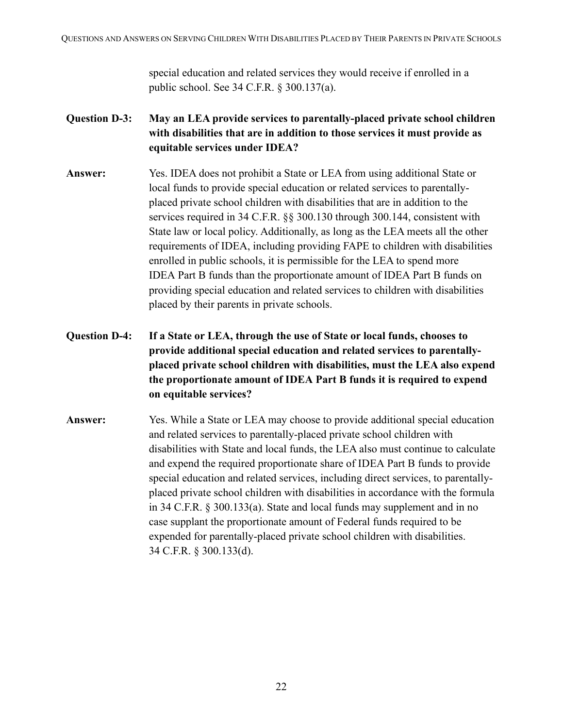special education and related services they would receive if enrolled in a public school. See 34 C.F.R. § 300.137(a).

- **Question D-3: May an LEA provide services to parentally-placed private school children with disabilities that are in addition to those services it must provide as equitable services under IDEA?**
- **Answer:** Yes. IDEA does not prohibit a State or LEA from using additional State or local funds to provide special education or related services to parentallyplaced private school children with disabilities that are in addition to the services required in 34 C.F.R. §§ 300.130 through 300.144, consistent with State law or local policy. Additionally, as long as the LEA meets all the other requirements of IDEA, including providing FAPE to children with disabilities enrolled in public schools, it is permissible for the LEA to spend more IDEA Part B funds than the proportionate amount of IDEA Part B funds on providing special education and related services to children with disabilities placed by their parents in private schools.
- **Question D-4: If a State or LEA, through the use of State or local funds, chooses to provide additional special education and related services to parentallyplaced private school children with disabilities, must the LEA also expend the proportionate amount of IDEA Part B funds it is required to expend on equitable services?**
- **Answer:** Yes. While a State or LEA may choose to provide additional special education and related services to parentally-placed private school children with disabilities with State and local funds, the LEA also must continue to calculate and expend the required proportionate share of IDEA Part B funds to provide special education and related services, including direct services, to parentallyplaced private school children with disabilities in accordance with the formula in 34 C.F.R. § 300.133(a). State and local funds may supplement and in no case supplant the proportionate amount of Federal funds required to be expended for parentally-placed private school children with disabilities. 34 C.F.R. § 300.133(d).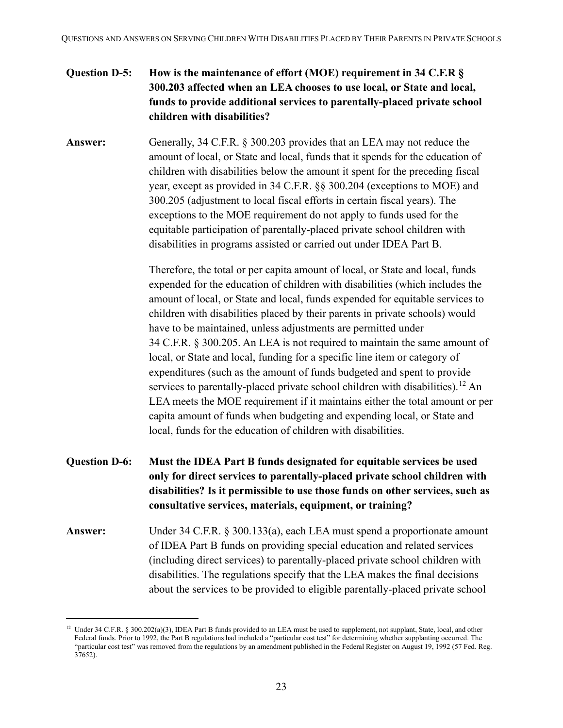### **Question D-5: How is the maintenance of effort (MOE) requirement in 34 C.F.R § 300.203 affected when an LEA chooses to use local, or State and local, funds to provide additional services to parentally-placed private school children with disabilities?**

**Answer:** Generally, 34 C.F.R. § 300.203 provides that an LEA may not reduce the amount of local, or State and local, funds that it spends for the education of children with disabilities below the amount it spent for the preceding fiscal year, except as provided in 34 C.F.R. §§ 300.204 (exceptions to MOE) and 300.205 (adjustment to local fiscal efforts in certain fiscal years). The exceptions to the MOE requirement do not apply to funds used for the equitable participation of parentally-placed private school children with disabilities in programs assisted or carried out under IDEA Part B.

> Therefore, the total or per capita amount of local, or State and local, funds expended for the education of children with disabilities (which includes the amount of local, or State and local, funds expended for equitable services to children with disabilities placed by their parents in private schools) would have to be maintained, unless adjustments are permitted under 34 C.F.R. § 300.205. An LEA is not required to maintain the same amount of local, or State and local, funding for a specific line item or category of expenditures (such as the amount of funds budgeted and spent to provide services to parentally-placed private school children with disabilities).<sup>[12](#page-22-0)</sup> An LEA meets the MOE requirement if it maintains either the total amount or per capita amount of funds when budgeting and expending local, or State and local, funds for the education of children with disabilities.

- **Question D-6: Must the IDEA Part B funds designated for equitable services be used only for direct services to parentally-placed private school children with disabilities? Is it permissible to use those funds on other services, such as consultative services, materials, equipment, or training?**
- **Answer:** Under 34 C.F.R. § 300.133(a), each LEA must spend a proportionate amount of IDEA Part B funds on providing special education and related services (including direct services) to parentally-placed private school children with disabilities. The regulations specify that the LEA makes the final decisions about the services to be provided to eligible parentally-placed private school

<span id="page-22-0"></span><sup>&</sup>lt;sup>12</sup> Under 34 C.F.R. § 300.202(a)(3), IDEA Part B funds provided to an LEA must be used to supplement, not supplant, State, local, and other Federal funds. Prior to 1992, the Part B regulations had included a "particular cost test" for determining whether supplanting occurred. The "particular cost test" was removed from the regulations by an amendment published in the Federal Register on August 19, 1992 (57 Fed. Reg. 37652).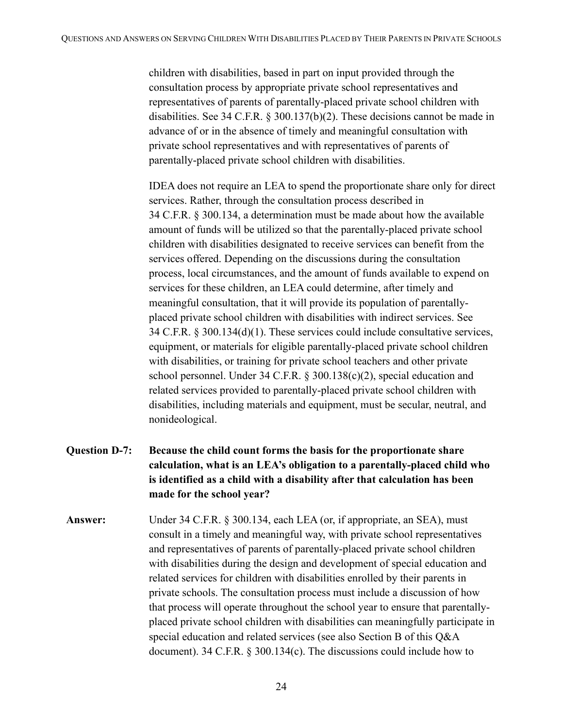children with disabilities, based in part on input provided through the consultation process by appropriate private school representatives and representatives of parents of parentally-placed private school children with disabilities. See 34 C.F.R. § 300.137(b)(2). These decisions cannot be made in advance of or in the absence of timely and meaningful consultation with private school representatives and with representatives of parents of parentally-placed private school children with disabilities.

IDEA does not require an LEA to spend the proportionate share only for direct services. Rather, through the consultation process described in 34 C.F.R. § 300.134, a determination must be made about how the available amount of funds will be utilized so that the parentally-placed private school children with disabilities designated to receive services can benefit from the services offered. Depending on the discussions during the consultation process, local circumstances, and the amount of funds available to expend on services for these children, an LEA could determine, after timely and meaningful consultation, that it will provide its population of parentallyplaced private school children with disabilities with indirect services. See 34 C.F.R. § 300.134(d)(1). These services could include consultative services, equipment, or materials for eligible parentally-placed private school children with disabilities, or training for private school teachers and other private school personnel. Under 34 C.F.R. § 300.138(c)(2), special education and related services provided to parentally-placed private school children with disabilities, including materials and equipment, must be secular, neutral, and nonideological.

- **Question D-7: Because the child count forms the basis for the proportionate share calculation, what is an LEA's obligation to a parentally-placed child who is identified as a child with a disability after that calculation has been made for the school year?**
- **Answer:** Under 34 C.F.R. § 300.134, each LEA (or, if appropriate, an SEA), must consult in a timely and meaningful way, with private school representatives and representatives of parents of parentally-placed private school children with disabilities during the design and development of special education and related services for children with disabilities enrolled by their parents in private schools. The consultation process must include a discussion of how that process will operate throughout the school year to ensure that parentallyplaced private school children with disabilities can meaningfully participate in special education and related services (see also Section B of this Q&A document). 34 C.F.R. § 300.134(c). The discussions could include how to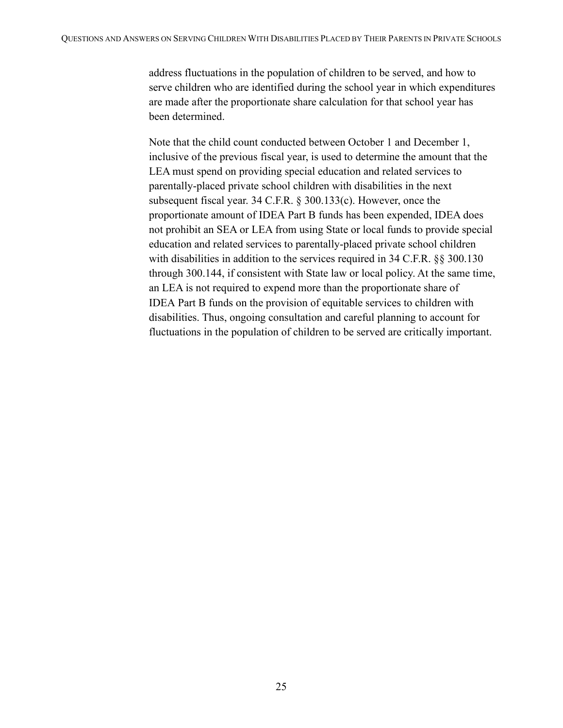address fluctuations in the population of children to be served, and how to serve children who are identified during the school year in which expenditures are made after the proportionate share calculation for that school year has been determined.

Note that the child count conducted between October 1 and December 1, inclusive of the previous fiscal year, is used to determine the amount that the LEA must spend on providing special education and related services to parentally-placed private school children with disabilities in the next subsequent fiscal year. 34 C.F.R. § 300.133(c). However, once the proportionate amount of IDEA Part B funds has been expended, IDEA does not prohibit an SEA or LEA from using State or local funds to provide special education and related services to parentally-placed private school children with disabilities in addition to the services required in 34 C.F.R. §§ 300.130 through 300.144, if consistent with State law or local policy. At the same time, an LEA is not required to expend more than the proportionate share of IDEA Part B funds on the provision of equitable services to children with disabilities. Thus, ongoing consultation and careful planning to account for fluctuations in the population of children to be served are critically important.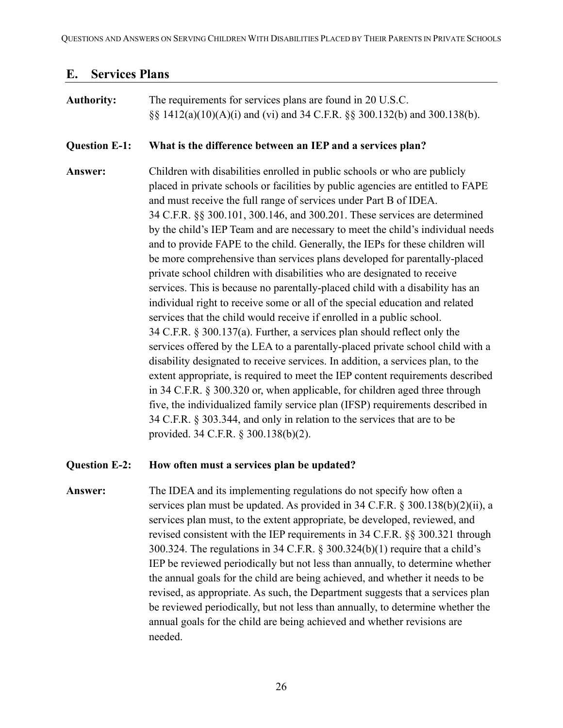#### <span id="page-25-0"></span>**E. Services Plans**

## **Authority:** The requirements for services plans are found in 20 U.S.C. §§ 1412(a)(10)(A)(i) and (vi) and 34 C.F.R. §§ 300.132(b) and 300.138(b). **Question E-1: What is the difference between an IEP and a services plan? Answer:** Children with disabilities enrolled in public schools or who are publicly placed in private schools or facilities by public agencies are entitled to FAPE and must receive the full range of services under Part B of IDEA. 34 C.F.R. §§ 300.101, 300.146, and 300.201. These services are determined by the child's IEP Team and are necessary to meet the child's individual needs and to provide FAPE to the child. Generally, the IEPs for these children will be more comprehensive than services plans developed for parentally-placed private school children with disabilities who are designated to receive services. This is because no parentally-placed child with a disability has an individual right to receive some or all of the special education and related services that the child would receive if enrolled in a public school. 34 C.F.R. § 300.137(a). Further, a services plan should reflect only the services offered by the LEA to a parentally-placed private school child with a disability designated to receive services. In addition, a services plan, to the extent appropriate, is required to meet the IEP content requirements described in 34 C.F.R. § 300.320 or, when applicable, for children aged three through five, the individualized family service plan (IFSP) requirements described in 34 C.F.R. § 303.344, and only in relation to the services that are to be provided. 34 C.F.R. § 300.138(b)(2).

#### **Question E-2: How often must a services plan be updated?**

## **Answer:** The IDEA and its implementing regulations do not specify how often a services plan must be updated. As provided in 34 C.F.R. § 300.138(b)(2)(ii), a services plan must, to the extent appropriate, be developed, reviewed, and revised consistent with the IEP requirements in 34 C.F.R. §§ 300.321 through 300.324. The regulations in 34 C.F.R. § 300.324(b)(1) require that a child's IEP be reviewed periodically but not less than annually, to determine whether the annual goals for the child are being achieved, and whether it needs to be revised, as appropriate. As such, the Department suggests that a services plan be reviewed periodically, but not less than annually, to determine whether the annual goals for the child are being achieved and whether revisions are needed.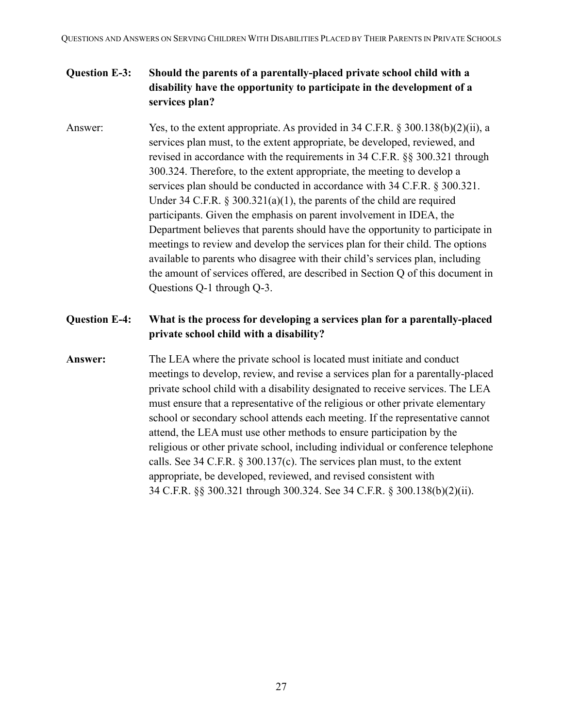### **Question E-3: Should the parents of a parentally-placed private school child with a disability have the opportunity to participate in the development of a services plan?**

Answer: Yes, to the extent appropriate. As provided in 34 C.F.R. § 300.138(b)(2)(ii), a services plan must, to the extent appropriate, be developed, reviewed, and revised in accordance with the requirements in 34 C.F.R. §§ 300.321 through 300.324. Therefore, to the extent appropriate, the meeting to develop a services plan should be conducted in accordance with 34 C.F.R. § 300.321. Under 34 C.F.R. § 300.321(a)(1), the parents of the child are required participants. Given the emphasis on parent involvement in IDEA, the Department believes that parents should have the opportunity to participate in meetings to review and develop the services plan for their child. The options available to parents who disagree with their child's services plan, including the amount of services offered, are described in Section Q of this document in Questions Q-1 through Q-3.

#### **Question E-4: What is the process for developing a services plan for a parentally-placed private school child with a disability?**

**Answer:** The LEA where the private school is located must initiate and conduct meetings to develop, review, and revise a services plan for a parentally-placed private school child with a disability designated to receive services. The LEA must ensure that a representative of the religious or other private elementary school or secondary school attends each meeting. If the representative cannot attend, the LEA must use other methods to ensure participation by the religious or other private school, including individual or conference telephone calls. See 34 C.F.R. § 300.137(c). The services plan must, to the extent appropriate, be developed, reviewed, and revised consistent with 34 C.F.R. §§ 300.321 through 300.324. See 34 C.F.R. § 300.138(b)(2)(ii).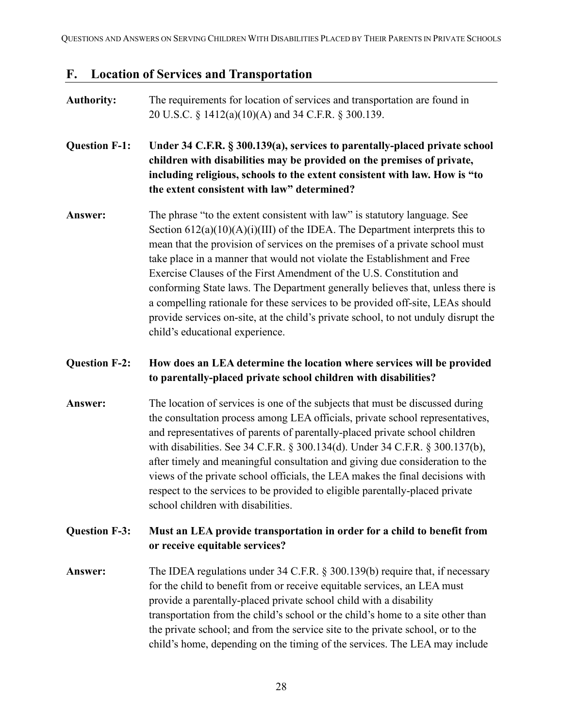#### <span id="page-27-0"></span>**F. Location of Services and Transportation**

# **Authority:** The requirements for location of services and transportation are found in 20 U.S.C. § 1412(a)(10)(A) and 34 C.F.R. § 300.139. **Question F-1: Under 34 C.F.R. § 300.139(a), services to parentally-placed private school children with disabilities may be provided on the premises of private, including religious, schools to the extent consistent with law. How is "to the extent consistent with law" determined? Answer:** The phrase "to the extent consistent with law" is statutory language. See Section  $612(a)(10)(A)(i)(III)$  of the IDEA. The Department interprets this to mean that the provision of services on the premises of a private school must take place in a manner that would not violate the Establishment and Free Exercise Clauses of the First Amendment of the U.S. Constitution and conforming State laws. The Department generally believes that, unless there is a compelling rationale for these services to be provided off-site, LEAs should provide services on-site, at the child's private school, to not unduly disrupt the child's educational experience. **Question F-2: How does an LEA determine the location where services will be provided to parentally-placed private school children with disabilities? Answer:** The location of services is one of the subjects that must be discussed during the consultation process among LEA officials, private school representatives, and representatives of parents of parentally-placed private school children with disabilities. See 34 C.F.R. § 300.134(d). Under 34 C.F.R. § 300.137(b), after timely and meaningful consultation and giving due consideration to the views of the private school officials, the LEA makes the final decisions with respect to the services to be provided to eligible parentally-placed private school children with disabilities.

#### **Question F-3: Must an LEA provide transportation in order for a child to benefit from or receive equitable services?**

**Answer:** The IDEA regulations under 34 C.F.R. § 300.139(b) require that, if necessary for the child to benefit from or receive equitable services, an LEA must provide a parentally-placed private school child with a disability transportation from the child's school or the child's home to a site other than the private school; and from the service site to the private school, or to the child's home, depending on the timing of the services. The LEA may include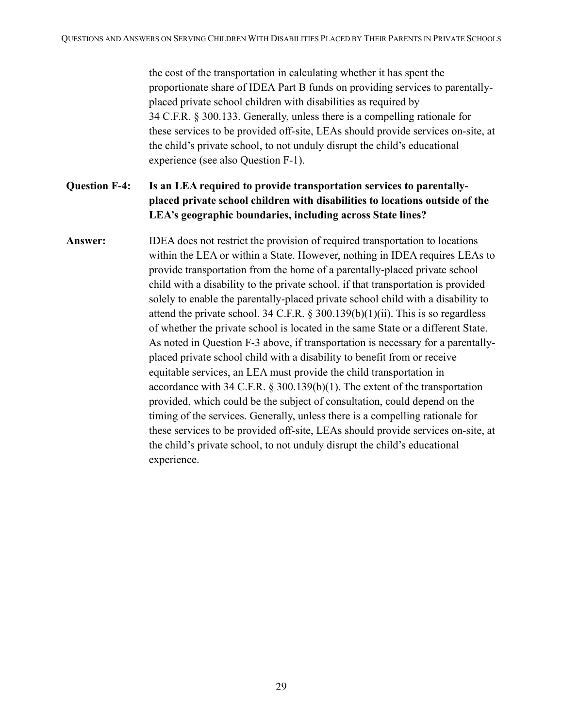the cost of the transportation in calculating whether it has spent the proportionate share of IDEA Part B funds on providing services to parentallyplaced private school children with disabilities as required by 34 C.F.R. § 300.133. Generally, unless there is a compelling rationale for these services to be provided off-site, LEAs should provide services on-site, at the child's private school, to not unduly disrupt the child's educational experience (see also Question F-1).

### **Question F-4: Is an LEA required to provide transportation services to parentallyplaced private school children with disabilities to locations outside of the LEA's geographic boundaries, including across State lines?**

**Answer:** IDEA does not restrict the provision of required transportation to locations within the LEA or within a State. However, nothing in IDEA requires LEAs to provide transportation from the home of a parentally-placed private school child with a disability to the private school, if that transportation is provided solely to enable the parentally-placed private school child with a disability to attend the private school. 34 C.F.R. § 300.139(b)(1)(ii). This is so regardless of whether the private school is located in the same State or a different State. As noted in Question F-3 above, if transportation is necessary for a parentallyplaced private school child with a disability to benefit from or receive equitable services, an LEA must provide the child transportation in accordance with 34 C.F.R. § 300.139(b)(1). The extent of the transportation provided, which could be the subject of consultation, could depend on the timing of the services. Generally, unless there is a compelling rationale for these services to be provided off-site, LEAs should provide services on-site, at the child's private school, to not unduly disrupt the child's educational experience.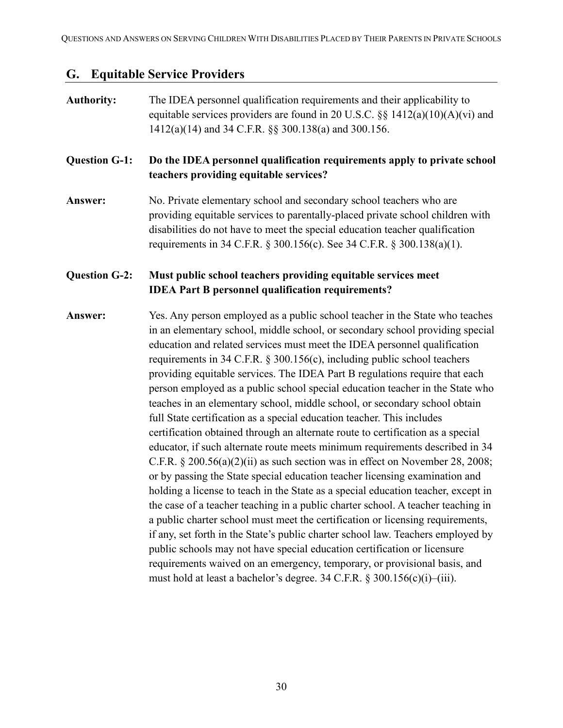#### <span id="page-29-0"></span>**G. Equitable Service Providers**

## **Authority:** The IDEA personnel qualification requirements and their applicability to equitable services providers are found in 20 U.S.C.  $\S$ § 1412(a)(10)(A)(vi) and 1412(a)(14) and 34 C.F.R. §§ 300.138(a) and 300.156. **Question G-1: Do the IDEA personnel qualification requirements apply to private school teachers providing equitable services? Answer:** No. Private elementary school and secondary school teachers who are providing equitable services to parentally-placed private school children with disabilities do not have to meet the special education teacher qualification requirements in 34 C.F.R. § 300.156(c). See 34 C.F.R. § 300.138(a)(1). **Question G-2: Must public school teachers providing equitable services meet IDEA Part B personnel qualification requirements? Answer:** Yes. Any person employed as a public school teacher in the State who teaches in an elementary school, middle school, or secondary school providing special education and related services must meet the IDEA personnel qualification requirements in 34 C.F.R. § 300.156(c), including public school teachers providing equitable services. The IDEA Part B regulations require that each person employed as a public school special education teacher in the State who teaches in an elementary school, middle school, or secondary school obtain full State certification as a special education teacher. This includes certification obtained through an alternate route to certification as a special educator, if such alternate route meets minimum requirements described in 34 C.F.R. § 200.56(a)(2)(ii) as such section was in effect on November 28, 2008; or by passing the State special education teacher licensing examination and holding a license to teach in the State as a special education teacher, except in the case of a teacher teaching in a public charter school. A teacher teaching in a public charter school must meet the certification or licensing requirements, if any, set forth in the State's public charter school law. Teachers employed by public schools may not have special education certification or licensure requirements waived on an emergency, temporary, or provisional basis, and must hold at least a bachelor's degree. 34 C.F.R. § 300.156(c)(i)–(iii).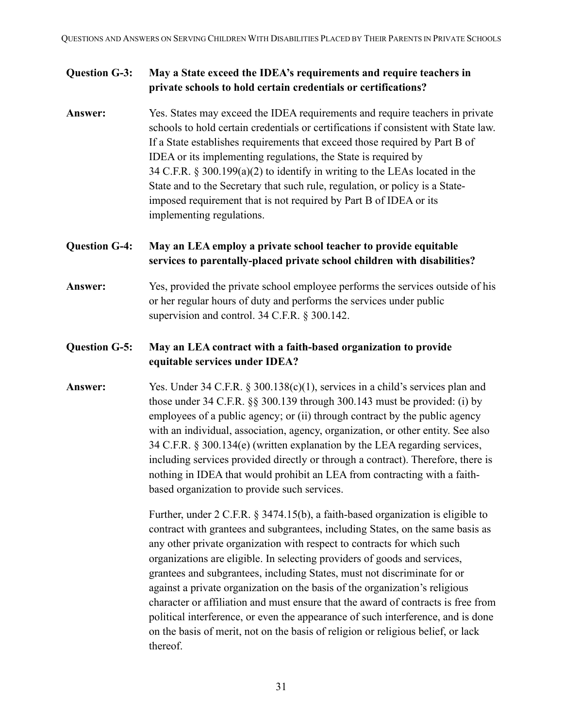#### **Question G-3: May a State exceed the IDEA's requirements and require teachers in private schools to hold certain credentials or certifications?**

**Answer:** Yes. States may exceed the IDEA requirements and require teachers in private schools to hold certain credentials or certifications if consistent with State law. If a State establishes requirements that exceed those required by Part B of IDEA or its implementing regulations, the State is required by 34 C.F.R. § 300.199(a)(2) to identify in writing to the LEAs located in the State and to the Secretary that such rule, regulation, or policy is a Stateimposed requirement that is not required by Part B of IDEA or its implementing regulations.

### **Question G-4: May an LEA employ a private school teacher to provide equitable services to parentally-placed private school children with disabilities?**

**Answer:** Yes, provided the private school employee performs the services outside of his or her regular hours of duty and performs the services under public supervision and control. 34 C.F.R. § 300.142.

#### **Question G-5: May an LEA contract with a faith-based organization to provide equitable services under IDEA?**

**Answer:** Yes. Under 34 C.F.R. § 300.138(c)(1), services in a child's services plan and those under 34 C.F.R. §§ 300.139 through 300.143 must be provided: (i) by employees of a public agency; or (ii) through contract by the public agency with an individual, association, agency, organization, or other entity. See also 34 C.F.R. § 300.134(e) (written explanation by the LEA regarding services, including services provided directly or through a contract). Therefore, there is nothing in IDEA that would prohibit an LEA from contracting with a faithbased organization to provide such services.

> Further, under 2 C.F.R. § 3474.15(b), a faith-based organization is eligible to contract with grantees and subgrantees, including States, on the same basis as any other private organization with respect to contracts for which such organizations are eligible. In selecting providers of goods and services, grantees and subgrantees, including States, must not discriminate for or against a private organization on the basis of the organization's religious character or affiliation and must ensure that the award of contracts is free from political interference, or even the appearance of such interference, and is done on the basis of merit, not on the basis of religion or religious belief, or lack thereof.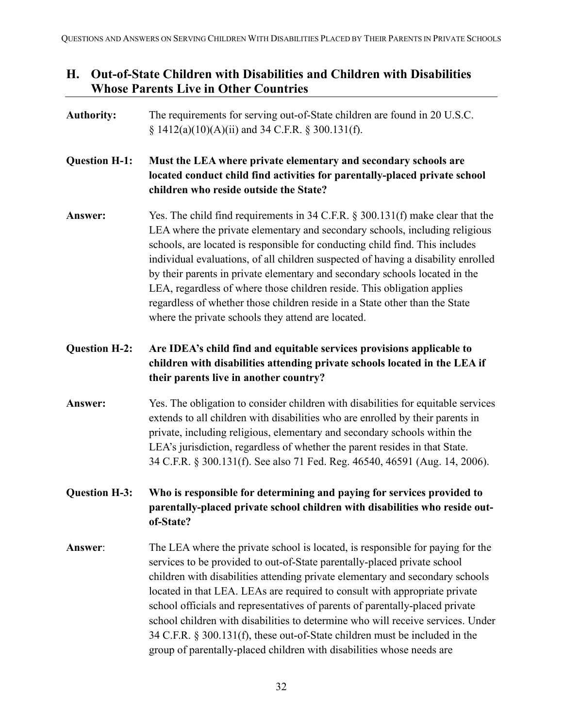## <span id="page-31-0"></span>**H. Out-of-State Children with Disabilities and Children with Disabilities Whose Parents Live in Other Countries**

| <b>Authority:</b>    | The requirements for serving out-of-State children are found in 20 U.S.C.<br>$\S$ 1412(a)(10)(A)(ii) and 34 C.F.R. $\S$ 300.131(f).                                                                                                                                                                                                                                                                                                                                                                                                                                                                                                                  |
|----------------------|------------------------------------------------------------------------------------------------------------------------------------------------------------------------------------------------------------------------------------------------------------------------------------------------------------------------------------------------------------------------------------------------------------------------------------------------------------------------------------------------------------------------------------------------------------------------------------------------------------------------------------------------------|
| <b>Question H-1:</b> | Must the LEA where private elementary and secondary schools are<br>located conduct child find activities for parentally-placed private school<br>children who reside outside the State?                                                                                                                                                                                                                                                                                                                                                                                                                                                              |
| Answer:              | Yes. The child find requirements in 34 C.F.R. $\S$ 300.131(f) make clear that the<br>LEA where the private elementary and secondary schools, including religious<br>schools, are located is responsible for conducting child find. This includes<br>individual evaluations, of all children suspected of having a disability enrolled<br>by their parents in private elementary and secondary schools located in the<br>LEA, regardless of where those children reside. This obligation applies<br>regardless of whether those children reside in a State other than the State<br>where the private schools they attend are located.                 |
| <b>Question H-2:</b> | Are IDEA's child find and equitable services provisions applicable to<br>children with disabilities attending private schools located in the LEA if<br>their parents live in another country?                                                                                                                                                                                                                                                                                                                                                                                                                                                        |
| Answer:              | Yes. The obligation to consider children with disabilities for equitable services<br>extends to all children with disabilities who are enrolled by their parents in<br>private, including religious, elementary and secondary schools within the<br>LEA's jurisdiction, regardless of whether the parent resides in that State.<br>34 C.F.R. § 300.131(f). See also 71 Fed. Reg. 46540, 46591 (Aug. 14, 2006).                                                                                                                                                                                                                                       |
| <b>Question H-3:</b> | Who is responsible for determining and paying for services provided to<br>parentally-placed private school children with disabilities who reside out-<br>of-State?                                                                                                                                                                                                                                                                                                                                                                                                                                                                                   |
| Answer:              | The LEA where the private school is located, is responsible for paying for the<br>services to be provided to out-of-State parentally-placed private school<br>children with disabilities attending private elementary and secondary schools<br>located in that LEA. LEAs are required to consult with appropriate private<br>school officials and representatives of parents of parentally-placed private<br>school children with disabilities to determine who will receive services. Under<br>34 C.F.R. § 300.131(f), these out-of-State children must be included in the<br>group of parentally-placed children with disabilities whose needs are |
|                      |                                                                                                                                                                                                                                                                                                                                                                                                                                                                                                                                                                                                                                                      |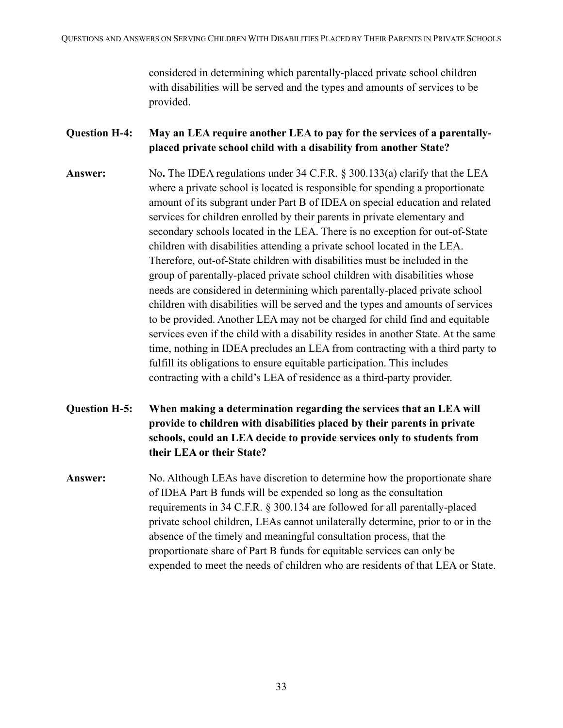considered in determining which parentally-placed private school children with disabilities will be served and the types and amounts of services to be provided.

#### **Question H-4: May an LEA require another LEA to pay for the services of a parentallyplaced private school child with a disability from another State?**

- **Answer:** No**.** The IDEA regulations under 34 C.F.R. § 300.133(a) clarify that the LEA where a private school is located is responsible for spending a proportionate amount of its subgrant under Part B of IDEA on special education and related services for children enrolled by their parents in private elementary and secondary schools located in the LEA. There is no exception for out-of-State children with disabilities attending a private school located in the LEA. Therefore, out-of-State children with disabilities must be included in the group of parentally-placed private school children with disabilities whose needs are considered in determining which parentally-placed private school children with disabilities will be served and the types and amounts of services to be provided. Another LEA may not be charged for child find and equitable services even if the child with a disability resides in another State. At the same time, nothing in IDEA precludes an LEA from contracting with a third party to fulfill its obligations to ensure equitable participation. This includes contracting with a child's LEA of residence as a third-party provider.
- **Question H-5: When making a determination regarding the services that an LEA will provide to children with disabilities placed by their parents in private schools, could an LEA decide to provide services only to students from their LEA or their State?**
- **Answer:** No. Although LEAs have discretion to determine how the proportionate share of IDEA Part B funds will be expended so long as the consultation requirements in 34 C.F.R. § 300.134 are followed for all parentally-placed private school children, LEAs cannot unilaterally determine, prior to or in the absence of the timely and meaningful consultation process, that the proportionate share of Part B funds for equitable services can only be expended to meet the needs of children who are residents of that LEA or State.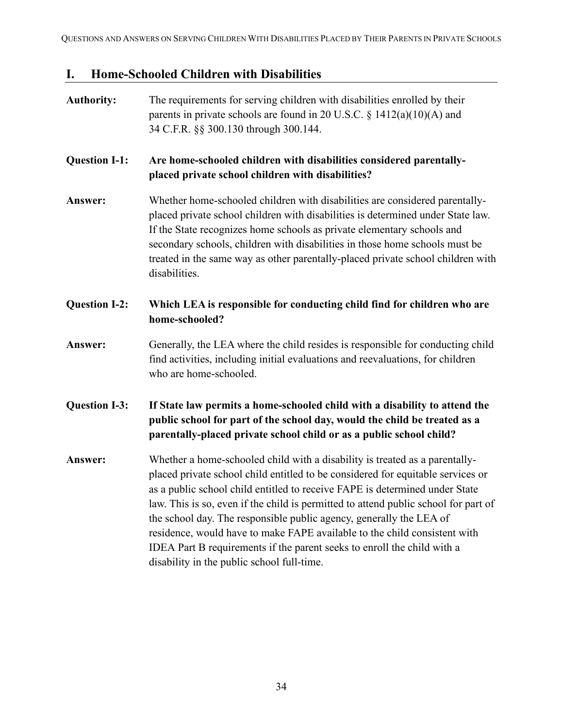# <span id="page-33-0"></span>**I. Home-Schooled Children with Disabilities**

| <b>Authority:</b>    | The requirements for serving children with disabilities enrolled by their<br>parents in private schools are found in 20 U.S.C. $\S$ 1412(a)(10)(A) and<br>34 C.F.R. §§ 300.130 through 300.144.                                                                                                                                                                                                                                                                                                                                                                                                                   |
|----------------------|-------------------------------------------------------------------------------------------------------------------------------------------------------------------------------------------------------------------------------------------------------------------------------------------------------------------------------------------------------------------------------------------------------------------------------------------------------------------------------------------------------------------------------------------------------------------------------------------------------------------|
| <b>Question I-1:</b> | Are home-schooled children with disabilities considered parentally-<br>placed private school children with disabilities?                                                                                                                                                                                                                                                                                                                                                                                                                                                                                          |
| Answer:              | Whether home-schooled children with disabilities are considered parentally-<br>placed private school children with disabilities is determined under State law.<br>If the State recognizes home schools as private elementary schools and<br>secondary schools, children with disabilities in those home schools must be<br>treated in the same way as other parentally-placed private school children with<br>disabilities.                                                                                                                                                                                       |
| <b>Question I-2:</b> | Which LEA is responsible for conducting child find for children who are<br>home-schooled?                                                                                                                                                                                                                                                                                                                                                                                                                                                                                                                         |
| Answer:              | Generally, the LEA where the child resides is responsible for conducting child<br>find activities, including initial evaluations and reevaluations, for children<br>who are home-schooled.                                                                                                                                                                                                                                                                                                                                                                                                                        |
| <b>Question I-3:</b> | If State law permits a home-schooled child with a disability to attend the<br>public school for part of the school day, would the child be treated as a<br>parentally-placed private school child or as a public school child?                                                                                                                                                                                                                                                                                                                                                                                    |
| Answer:              | Whether a home-schooled child with a disability is treated as a parentally-<br>placed private school child entitled to be considered for equitable services or<br>as a public school child entitled to receive FAPE is determined under State<br>law. This is so, even if the child is permitted to attend public school for part of<br>the school day. The responsible public agency, generally the LEA of<br>residence, would have to make FAPE available to the child consistent with<br>IDEA Part B requirements if the parent seeks to enroll the child with a<br>disability in the public school full-time. |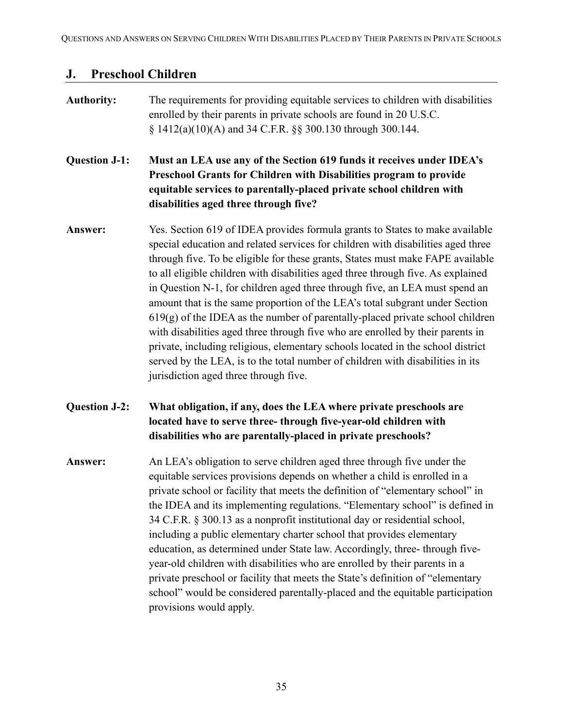### <span id="page-34-0"></span>**J. Preschool Children**

## **Authority:** The requirements for providing equitable services to children with disabilities enrolled by their parents in private schools are found in 20 U.S.C. § 1412(a)(10)(A) and 34 C.F.R. §§ 300.130 through 300.144. **Question J-1: Must an LEA use any of the Section 619 funds it receives under IDEA's Preschool Grants for Children with Disabilities program to provide equitable services to parentally-placed private school children with disabilities aged three through five? Answer:** Yes. Section 619 of IDEA provides formula grants to States to make available special education and related services for children with disabilities aged three through five. To be eligible for these grants, States must make FAPE available to all eligible children with disabilities aged three through five. As explained in Question N-1, for children aged three through five, an LEA must spend an amount that is the same proportion of the LEA's total subgrant under Section  $619(g)$  of the IDEA as the number of parentally-placed private school children with disabilities aged three through five who are enrolled by their parents in private, including religious, elementary schools located in the school district served by the LEA, is to the total number of children with disabilities in its jurisdiction aged three through five. **Question J-2: What obligation, if any, does the LEA where private preschools are located have to serve three- through five-year-old children with disabilities who are parentally-placed in private preschools? Answer:** An LEA's obligation to serve children aged three through five under the equitable services provisions depends on whether a child is enrolled in a private school or facility that meets the definition of "elementary school" in the IDEA and its implementing regulations. "Elementary school" is defined in 34 C.F.R. § 300.13 as a nonprofit institutional day or residential school, including a public elementary charter school that provides elementary education, as determined under State law. Accordingly, three- through fiveyear-old children with disabilities who are enrolled by their parents in a private preschool or facility that meets the State's definition of "elementary school" would be considered parentally-placed and the equitable participation provisions would apply.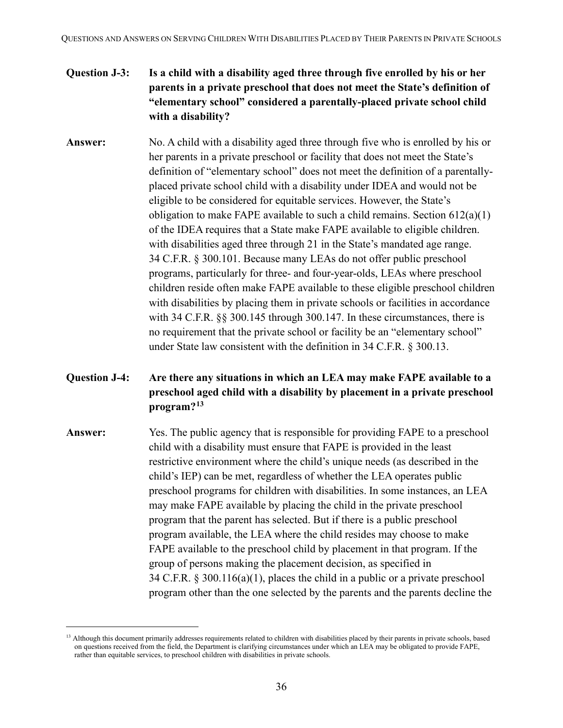### **Question J-3: Is a child with a disability aged three through five enrolled by his or her parents in a private preschool that does not meet the State's definition of "elementary school" considered a parentally-placed private school child with a disability?**

**Answer:** No. A child with a disability aged three through five who is enrolled by his or her parents in a private preschool or facility that does not meet the State's definition of "elementary school" does not meet the definition of a parentallyplaced private school child with a disability under IDEA and would not be eligible to be considered for equitable services. However, the State's obligation to make FAPE available to such a child remains. Section 612(a)(1) of the IDEA requires that a State make FAPE available to eligible children. with disabilities aged three through 21 in the State's mandated age range. 34 C.F.R. § 300.101. Because many LEAs do not offer public preschool programs, particularly for three- and four-year-olds, LEAs where preschool children reside often make FAPE available to these eligible preschool children with disabilities by placing them in private schools or facilities in accordance with 34 C.F.R. §§ 300.145 through 300.147. In these circumstances, there is no requirement that the private school or facility be an "elementary school" under State law consistent with the definition in 34 C.F.R. § 300.13.

### **Question J-4: Are there any situations in which an LEA may make FAPE available to a preschool aged child with a disability by placement in a private preschool program?[13](#page-35-0)**

**Answer:** Yes. The public agency that is responsible for providing FAPE to a preschool child with a disability must ensure that FAPE is provided in the least restrictive environment where the child's unique needs (as described in the child's IEP) can be met, regardless of whether the LEA operates public preschool programs for children with disabilities. In some instances, an LEA may make FAPE available by placing the child in the private preschool program that the parent has selected. But if there is a public preschool program available, the LEA where the child resides may choose to make FAPE available to the preschool child by placement in that program. If the group of persons making the placement decision, as specified in 34 C.F.R. § 300.116(a)(1), places the child in a public or a private preschool program other than the one selected by the parents and the parents decline the

<span id="page-35-0"></span><sup>&</sup>lt;sup>13</sup> Although this document primarily addresses requirements related to children with disabilities placed by their parents in private schools, based on questions received from the field, the Department is clarifying circumstances under which an LEA may be obligated to provide FAPE, rather than equitable services, to preschool children with disabilities in private schools.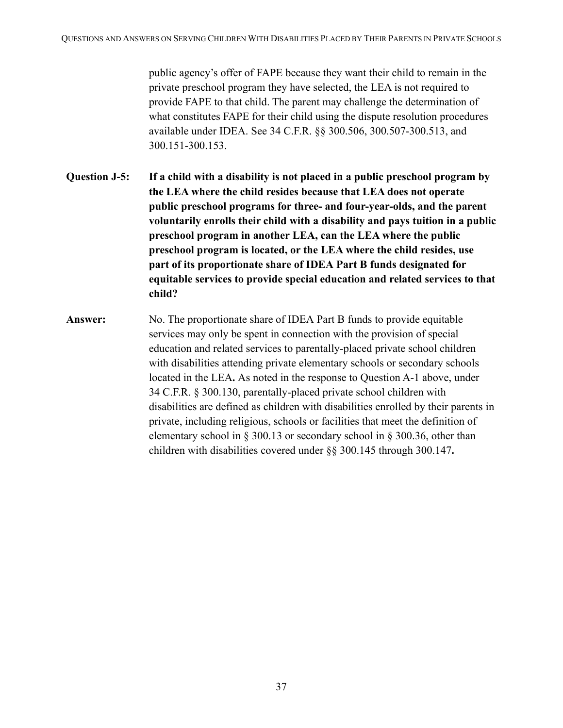public agency's offer of FAPE because they want their child to remain in the private preschool program they have selected, the LEA is not required to provide FAPE to that child. The parent may challenge the determination of what constitutes FAPE for their child using the dispute resolution procedures available under IDEA. See 34 C.F.R. §§ 300.506, 300.507-300.513, and 300.151-300.153.

- **Question J-5: If a child with a disability is not placed in a public preschool program by the LEA where the child resides because that LEA does not operate public preschool programs for three- and four-year-olds, and the parent voluntarily enrolls their child with a disability and pays tuition in a public preschool program in another LEA, can the LEA where the public preschool program is located, or the LEA where the child resides, use part of its proportionate share of IDEA Part B funds designated for equitable services to provide special education and related services to that child?**
- **Answer:** No. The proportionate share of IDEA Part B funds to provide equitable services may only be spent in connection with the provision of special education and related services to parentally-placed private school children with disabilities attending private elementary schools or secondary schools located in the LEA**.** As noted in the response to Question A-1 above, under 34 C.F.R. § 300.130, parentally-placed private school children with disabilities are defined as children with disabilities enrolled by their parents in private, including religious, schools or facilities that meet the definition of elementary school in § 300.13 or secondary school in § 300.36, other than children with disabilities covered under §§ 300.145 through 300.147**.**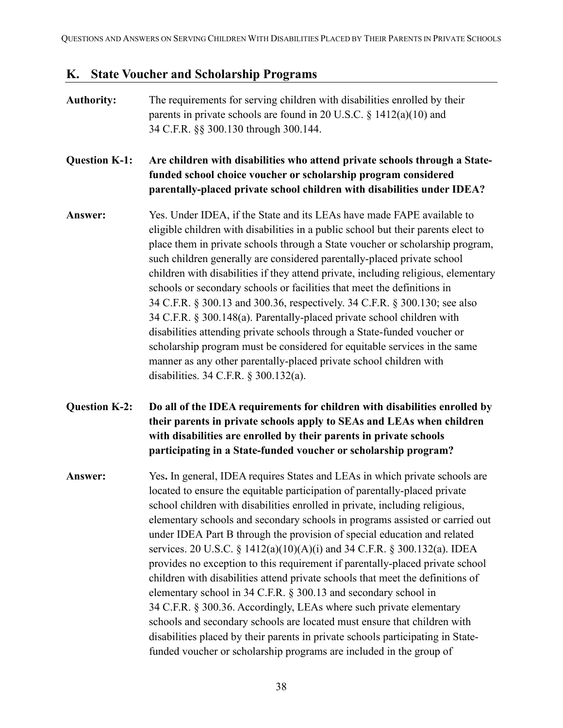#### <span id="page-37-0"></span>**K. State Voucher and Scholarship Programs**

## **Authority:** The requirements for serving children with disabilities enrolled by their parents in private schools are found in 20 U.S.C. § 1412(a)(10) and 34 C.F.R. §§ 300.130 through 300.144. **Question K-1: Are children with disabilities who attend private schools through a Statefunded school choice voucher or scholarship program considered parentally-placed private school children with disabilities under IDEA? Answer:** Yes. Under IDEA, if the State and its LEAs have made FAPE available to eligible children with disabilities in a public school but their parents elect to place them in private schools through a State voucher or scholarship program, such children generally are considered parentally-placed private school children with disabilities if they attend private, including religious, elementary schools or secondary schools or facilities that meet the definitions in 34 C.F.R. § 300.13 and 300.36, respectively. 34 C.F.R. § 300.130; see also 34 C.F.R. § 300.148(a). Parentally-placed private school children with disabilities attending private schools through a State-funded voucher or scholarship program must be considered for equitable services in the same manner as any other parentally-placed private school children with disabilities. 34 C.F.R. § 300.132(a). **Question K-2: Do all of the IDEA requirements for children with disabilities enrolled by their parents in private schools apply to SEAs and LEAs when children with disabilities are enrolled by their parents in private schools participating in a State-funded voucher or scholarship program? Answer:** Yes**.** In general, IDEA requires States and LEAs in which private schools are located to ensure the equitable participation of parentally-placed private school children with disabilities enrolled in private, including religious, elementary schools and secondary schools in programs assisted or carried out under IDEA Part B through the provision of special education and related services. 20 U.S.C. § 1412(a)(10)(A)(i) and 34 C.F.R. § 300.132(a). IDEA provides no exception to this requirement if parentally-placed private school children with disabilities attend private schools that meet the definitions of elementary school in 34 C.F.R. § 300.13 and secondary school in 34 C.F.R. § 300.36. Accordingly, LEAs where such private elementary schools and secondary schools are located must ensure that children with disabilities placed by their parents in private schools participating in Statefunded voucher or scholarship programs are included in the group of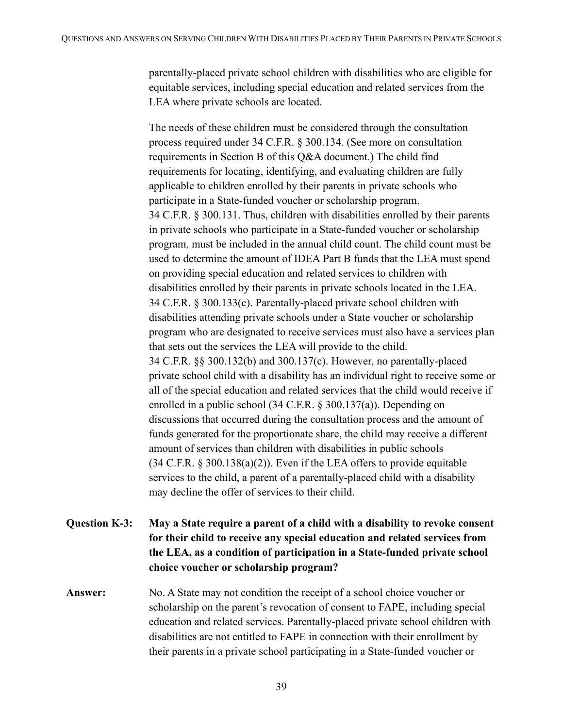parentally-placed private school children with disabilities who are eligible for equitable services, including special education and related services from the LEA where private schools are located.

The needs of these children must be considered through the consultation process required under 34 C.F.R. § 300.134. (See more on consultation requirements in Section B of this Q&A document.) The child find requirements for locating, identifying, and evaluating children are fully applicable to children enrolled by their parents in private schools who participate in a State-funded voucher or scholarship program. 34 C.F.R. § 300.131. Thus, children with disabilities enrolled by their parents in private schools who participate in a State-funded voucher or scholarship program, must be included in the annual child count. The child count must be used to determine the amount of IDEA Part B funds that the LEA must spend on providing special education and related services to children with disabilities enrolled by their parents in private schools located in the LEA. 34 C.F.R. § 300.133(c). Parentally-placed private school children with disabilities attending private schools under a State voucher or scholarship program who are designated to receive services must also have a services plan that sets out the services the LEA will provide to the child. 34 C.F.R. §§ 300.132(b) and 300.137(c). However, no parentally-placed private school child with a disability has an individual right to receive some or all of the special education and related services that the child would receive if enrolled in a public school (34 C.F.R. § 300.137(a)). Depending on discussions that occurred during the consultation process and the amount of funds generated for the proportionate share, the child may receive a different amount of services than children with disabilities in public schools (34 C.F.R. § 300.138(a)(2)). Even if the LEA offers to provide equitable services to the child, a parent of a parentally-placed child with a disability may decline the offer of services to their child.

**Question K-3: May a State require a parent of a child with a disability to revoke consent for their child to receive any special education and related services from the LEA, as a condition of participation in a State-funded private school choice voucher or scholarship program?**

**Answer:** No. A State may not condition the receipt of a school choice voucher or scholarship on the parent's revocation of consent to FAPE, including special education and related services. Parentally-placed private school children with disabilities are not entitled to FAPE in connection with their enrollment by their parents in a private school participating in a State-funded voucher or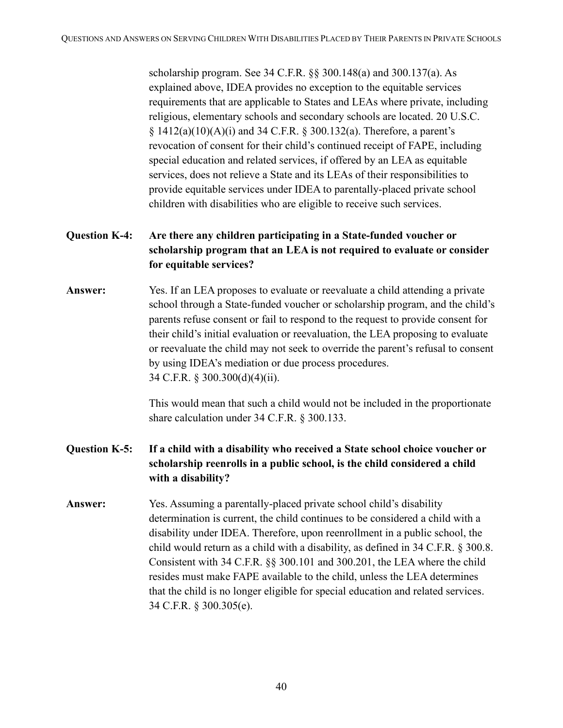scholarship program. See 34 C.F.R. §§ 300.148(a) and 300.137(a). As explained above, IDEA provides no exception to the equitable services requirements that are applicable to States and LEAs where private, including religious, elementary schools and secondary schools are located. 20 U.S.C. § 1412(a)(10)(A)(i) and 34 C.F.R. § 300.132(a). Therefore, a parent's revocation of consent for their child's continued receipt of FAPE, including special education and related services, if offered by an LEA as equitable services, does not relieve a State and its LEAs of their responsibilities to provide equitable services under IDEA to parentally-placed private school children with disabilities who are eligible to receive such services.

## **Question K-4: Are there any children participating in a State-funded voucher or scholarship program that an LEA is not required to evaluate or consider for equitable services?**

**Answer:** Yes. If an LEA proposes to evaluate or reevaluate a child attending a private school through a State-funded voucher or scholarship program, and the child's parents refuse consent or fail to respond to the request to provide consent for their child's initial evaluation or reevaluation, the LEA proposing to evaluate or reevaluate the child may not seek to override the parent's refusal to consent by using IDEA's mediation or due process procedures. 34 C.F.R. § 300.300(d)(4)(ii).

> This would mean that such a child would not be included in the proportionate share calculation under 34 C.F.R. § 300.133.

- **Question K-5: If a child with a disability who received a State school choice voucher or scholarship reenrolls in a public school, is the child considered a child with a disability?**
- **Answer:** Yes. Assuming a parentally-placed private school child's disability determination is current, the child continues to be considered a child with a disability under IDEA. Therefore, upon reenrollment in a public school, the child would return as a child with a disability, as defined in 34 C.F.R. § 300.8. Consistent with 34 C.F.R. §§ 300.101 and 300.201, the LEA where the child resides must make FAPE available to the child, unless the LEA determines that the child is no longer eligible for special education and related services. 34 C.F.R. § 300.305(e).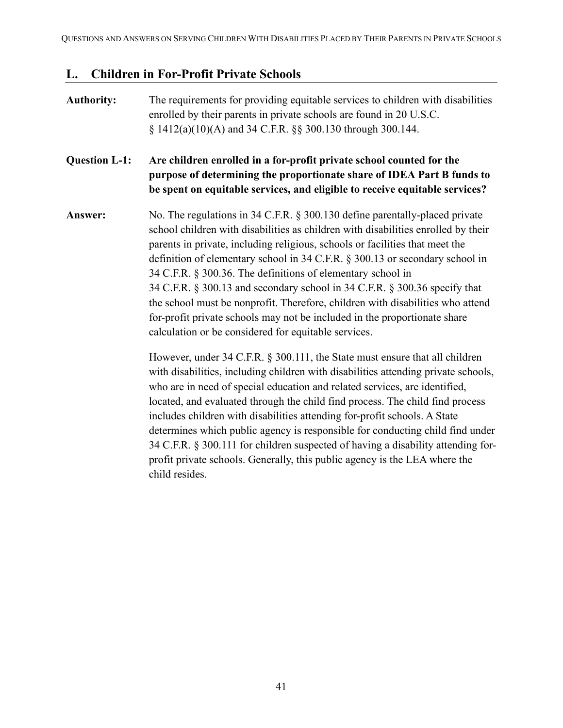### <span id="page-40-0"></span>**L. Children in For-Profit Private Schools**

## **Authority:** The requirements for providing equitable services to children with disabilities enrolled by their parents in private schools are found in 20 U.S.C. § 1412(a)(10)(A) and 34 C.F.R. §§ 300.130 through 300.144. **Question L-1: Are children enrolled in a for-profit private school counted for the purpose of determining the proportionate share of IDEA Part B funds to be spent on equitable services, and eligible to receive equitable services? Answer:** No. The regulations in 34 C.F.R. § 300.130 define parentally-placed private school children with disabilities as children with disabilities enrolled by their parents in private, including religious, schools or facilities that meet the definition of elementary school in 34 C.F.R. § 300.13 or secondary school in 34 C.F.R. § 300.36. The definitions of elementary school in 34 C.F.R. § 300.13 and secondary school in 34 C.F.R. § 300.36 specify that the school must be nonprofit. Therefore, children with disabilities who attend for-profit private schools may not be included in the proportionate share calculation or be considered for equitable services. However, under 34 C.F.R. § 300.111, the State must ensure that all children with disabilities, including children with disabilities attending private schools, who are in need of special education and related services, are identified, located, and evaluated through the child find process. The child find process includes children with disabilities attending for-profit schools. A State determines which public agency is responsible for conducting child find under 34 C.F.R. § 300.111 for children suspected of having a disability attending forprofit private schools. Generally, this public agency is the LEA where the child resides.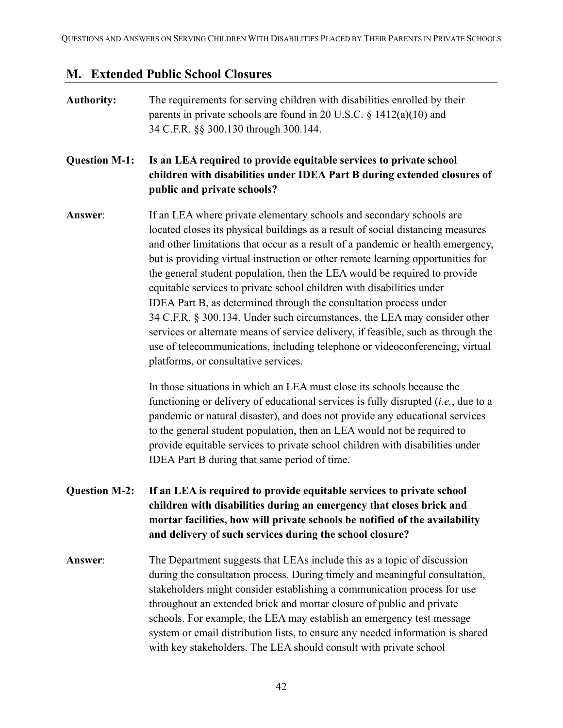# <span id="page-41-0"></span>**M. Extended Public School Closures**

| <b>Authority:</b>    | The requirements for serving children with disabilities enrolled by their<br>parents in private schools are found in 20 U.S.C. $\S$ 1412(a)(10) and<br>34 C.F.R. §§ 300.130 through 300.144.                                                                                                                                                                                                                                                                                                                                                                                                                                                                                                                                                                                                                                                                                                                                 |
|----------------------|------------------------------------------------------------------------------------------------------------------------------------------------------------------------------------------------------------------------------------------------------------------------------------------------------------------------------------------------------------------------------------------------------------------------------------------------------------------------------------------------------------------------------------------------------------------------------------------------------------------------------------------------------------------------------------------------------------------------------------------------------------------------------------------------------------------------------------------------------------------------------------------------------------------------------|
| <b>Question M-1:</b> | Is an LEA required to provide equitable services to private school<br>children with disabilities under IDEA Part B during extended closures of<br>public and private schools?                                                                                                                                                                                                                                                                                                                                                                                                                                                                                                                                                                                                                                                                                                                                                |
| Answer:              | If an LEA where private elementary schools and secondary schools are<br>located closes its physical buildings as a result of social distancing measures<br>and other limitations that occur as a result of a pandemic or health emergency,<br>but is providing virtual instruction or other remote learning opportunities for<br>the general student population, then the LEA would be required to provide<br>equitable services to private school children with disabilities under<br>IDEA Part B, as determined through the consultation process under<br>34 C.F.R. § 300.134. Under such circumstances, the LEA may consider other<br>services or alternate means of service delivery, if feasible, such as through the<br>use of telecommunications, including telephone or videoconferencing, virtual<br>platforms, or consultative services.<br>In those situations in which an LEA must close its schools because the |
|                      | functioning or delivery of educational services is fully disrupted $(i.e.,$ due to a<br>pandemic or natural disaster), and does not provide any educational services<br>to the general student population, then an LEA would not be required to<br>provide equitable services to private school children with disabilities under<br>IDEA Part B during that same period of time.                                                                                                                                                                                                                                                                                                                                                                                                                                                                                                                                             |
| <b>Question M-2:</b> | If an LEA is required to provide equitable services to private school<br>children with disabilities during an emergency that closes brick and<br>mortar facilities, how will private schools be notified of the availability<br>and delivery of such services during the school closure?                                                                                                                                                                                                                                                                                                                                                                                                                                                                                                                                                                                                                                     |
| Answer:              | The Department suggests that LEAs include this as a topic of discussion<br>during the consultation process. During timely and meaningful consultation,<br>stakeholders might consider establishing a communication process for use<br>throughout an extended brick and mortar closure of public and private<br>schools. For example, the LEA may establish an emergency test message<br>system or email distribution lists, to ensure any needed information is shared<br>with key stakeholders. The LEA should consult with private school                                                                                                                                                                                                                                                                                                                                                                                  |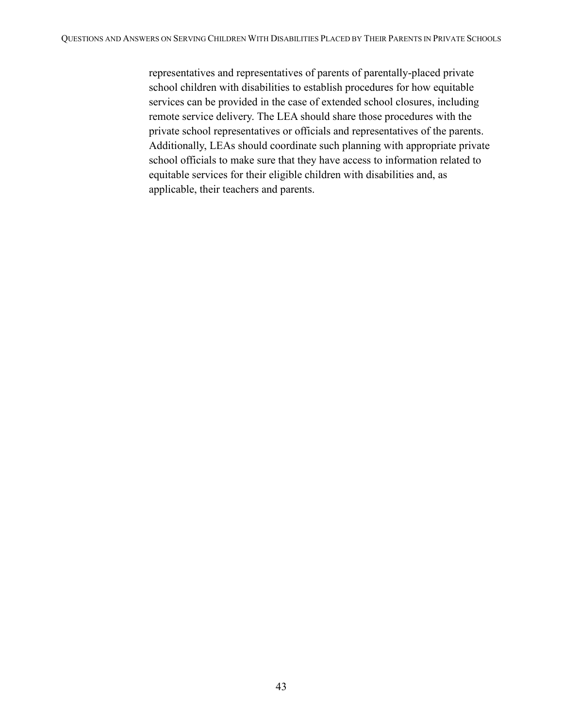representatives and representatives of parents of parentally-placed private school children with disabilities to establish procedures for how equitable services can be provided in the case of extended school closures, including remote service delivery. The LEA should share those procedures with the private school representatives or officials and representatives of the parents. Additionally, LEAs should coordinate such planning with appropriate private school officials to make sure that they have access to information related to equitable services for their eligible children with disabilities and, as applicable, their teachers and parents.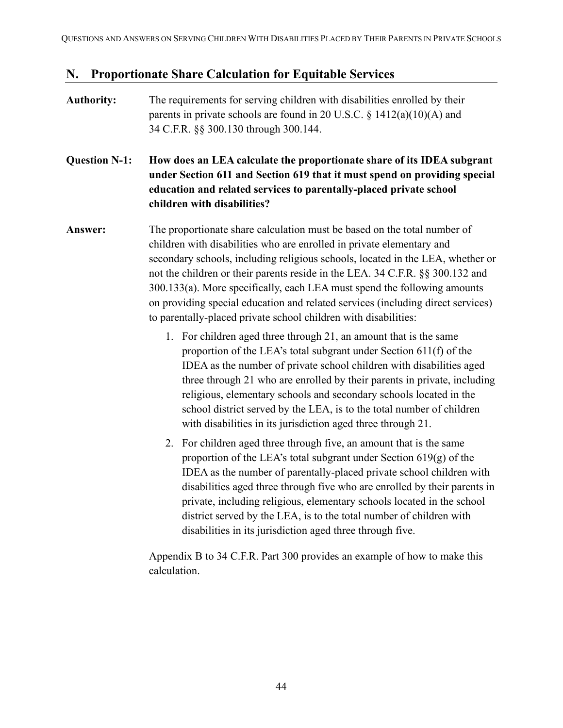#### <span id="page-43-0"></span>**N. Proportionate Share Calculation for Equitable Services**

#### **Authority:** The requirements for serving children with disabilities enrolled by their parents in private schools are found in 20 U.S.C.  $\S$  1412(a)(10)(A) and 34 C.F.R. §§ 300.130 through 300.144.

### **Question N-1: How does an LEA calculate the proportionate share of its IDEA subgrant under Section 611 and Section 619 that it must spend on providing special education and related services to parentally-placed private school children with disabilities?**

**Answer:** The proportionate share calculation must be based on the total number of children with disabilities who are enrolled in private elementary and secondary schools, including religious schools, located in the LEA, whether or not the children or their parents reside in the LEA. 34 C.F.R. §§ 300.132 and 300.133(a). More specifically, each LEA must spend the following amounts on providing special education and related services (including direct services) to parentally-placed private school children with disabilities:

- 1. For children aged three through 21, an amount that is the same proportion of the LEA's total subgrant under Section 611(f) of the IDEA as the number of private school children with disabilities aged three through 21 who are enrolled by their parents in private, including religious, elementary schools and secondary schools located in the school district served by the LEA, is to the total number of children with disabilities in its jurisdiction aged three through 21.
- 2. For children aged three through five, an amount that is the same proportion of the LEA's total subgrant under Section 619(g) of the IDEA as the number of parentally-placed private school children with disabilities aged three through five who are enrolled by their parents in private, including religious, elementary schools located in the school district served by the LEA, is to the total number of children with disabilities in its jurisdiction aged three through five.

Appendix B to 34 C.F.R. Part 300 provides an example of how to make this calculation.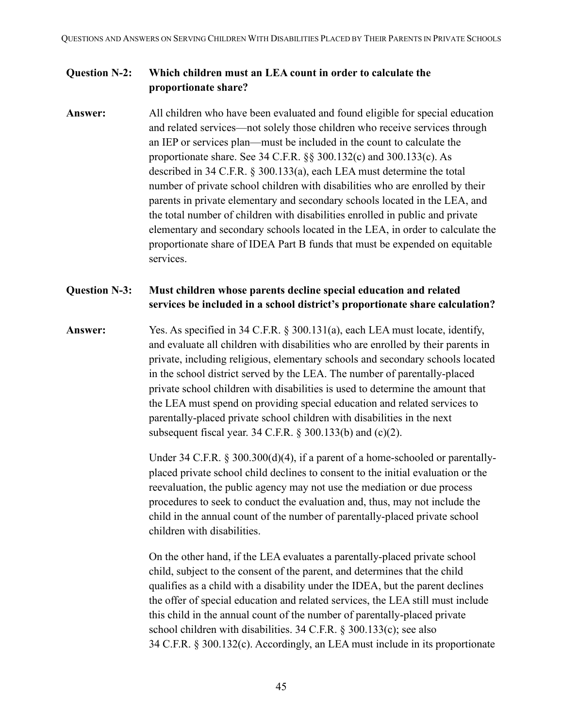#### **Question N-2: Which children must an LEA count in order to calculate the proportionate share?**

**Answer:** All children who have been evaluated and found eligible for special education and related services—not solely those children who receive services through an IEP or services plan—must be included in the count to calculate the proportionate share. See 34 C.F.R. §§ 300.132(c) and 300.133(c). As described in 34 C.F.R. § 300.133(a), each LEA must determine the total number of private school children with disabilities who are enrolled by their parents in private elementary and secondary schools located in the LEA, and the total number of children with disabilities enrolled in public and private elementary and secondary schools located in the LEA, in order to calculate the proportionate share of IDEA Part B funds that must be expended on equitable services.

#### **Question N-3: Must children whose parents decline special education and related services be included in a school district's proportionate share calculation?**

**Answer:** Yes. As specified in 34 C.F.R. § 300.131(a), each LEA must locate, identify, and evaluate all children with disabilities who are enrolled by their parents in private, including religious, elementary schools and secondary schools located in the school district served by the LEA. The number of parentally-placed private school children with disabilities is used to determine the amount that the LEA must spend on providing special education and related services to parentally-placed private school children with disabilities in the next subsequent fiscal year. 34 C.F.R.  $\S$  300.133(b) and (c)(2).

> Under 34 C.F.R. § 300.300(d)(4), if a parent of a home-schooled or parentallyplaced private school child declines to consent to the initial evaluation or the reevaluation, the public agency may not use the mediation or due process procedures to seek to conduct the evaluation and, thus, may not include the child in the annual count of the number of parentally-placed private school children with disabilities.

> On the other hand, if the LEA evaluates a parentally-placed private school child, subject to the consent of the parent, and determines that the child qualifies as a child with a disability under the IDEA, but the parent declines the offer of special education and related services, the LEA still must include this child in the annual count of the number of parentally-placed private school children with disabilities. 34 C.F.R. § 300.133(c); see also 34 C.F.R. § 300.132(c). Accordingly, an LEA must include in its proportionate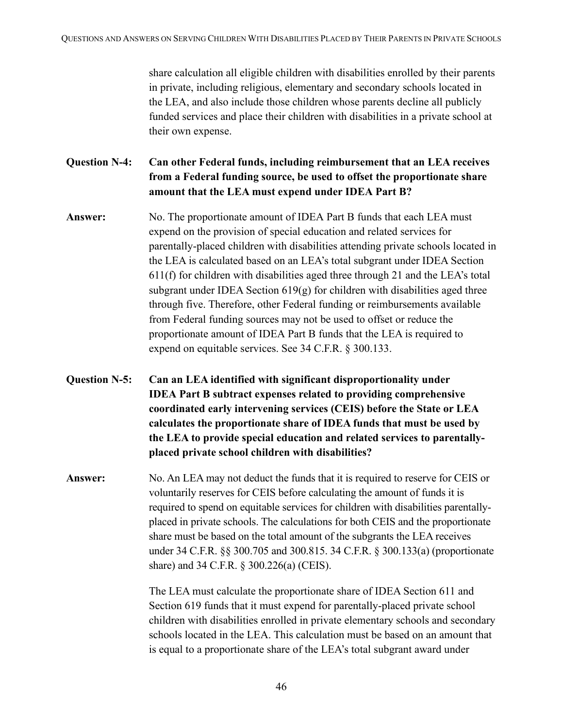share calculation all eligible children with disabilities enrolled by their parents in private, including religious, elementary and secondary schools located in the LEA, and also include those children whose parents decline all publicly funded services and place their children with disabilities in a private school at their own expense.

**Question N-4: Can other Federal funds, including reimbursement that an LEA receives from a Federal funding source, be used to offset the proportionate share amount that the LEA must expend under IDEA Part B?**

- **Answer:** No. The proportionate amount of IDEA Part B funds that each LEA must expend on the provision of special education and related services for parentally-placed children with disabilities attending private schools located in the LEA is calculated based on an LEA's total subgrant under IDEA Section 611(f) for children with disabilities aged three through 21 and the LEA's total subgrant under IDEA Section  $619(g)$  for children with disabilities aged three through five. Therefore, other Federal funding or reimbursements available from Federal funding sources may not be used to offset or reduce the proportionate amount of IDEA Part B funds that the LEA is required to expend on equitable services. See 34 C.F.R. § 300.133.
- **Question N-5: Can an LEA identified with significant disproportionality under IDEA Part B subtract expenses related to providing comprehensive coordinated early intervening services (CEIS) before the State or LEA calculates the proportionate share of IDEA funds that must be used by the LEA to provide special education and related services to parentallyplaced private school children with disabilities?**
- **Answer:** No. An LEA may not deduct the funds that it is required to reserve for CEIS or voluntarily reserves for CEIS before calculating the amount of funds it is required to spend on equitable services for children with disabilities parentallyplaced in private schools. The calculations for both CEIS and the proportionate share must be based on the total amount of the subgrants the LEA receives under 34 C.F.R. §§ 300.705 and 300.815. 34 C.F.R. § 300.133(a) (proportionate share) and 34 C.F.R. § 300.226(a) (CEIS).

The LEA must calculate the proportionate share of IDEA Section 611 and Section 619 funds that it must expend for parentally-placed private school children with disabilities enrolled in private elementary schools and secondary schools located in the LEA. This calculation must be based on an amount that is equal to a proportionate share of the LEA's total subgrant award under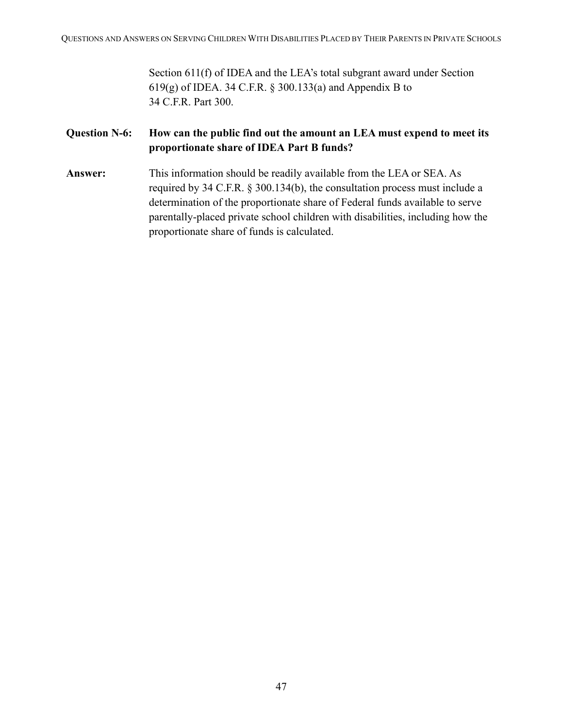Section 611(f) of IDEA and the LEA's total subgrant award under Section 619(g) of IDEA. 34 C.F.R. § 300.133(a) and Appendix B to 34 C.F.R. Part 300.

#### **Question N-6: How can the public find out the amount an LEA must expend to meet its proportionate share of IDEA Part B funds?**

**Answer:** This information should be readily available from the LEA or SEA. As required by 34 C.F.R. § 300.134(b), the consultation process must include a determination of the proportionate share of Federal funds available to serve parentally-placed private school children with disabilities, including how the proportionate share of funds is calculated.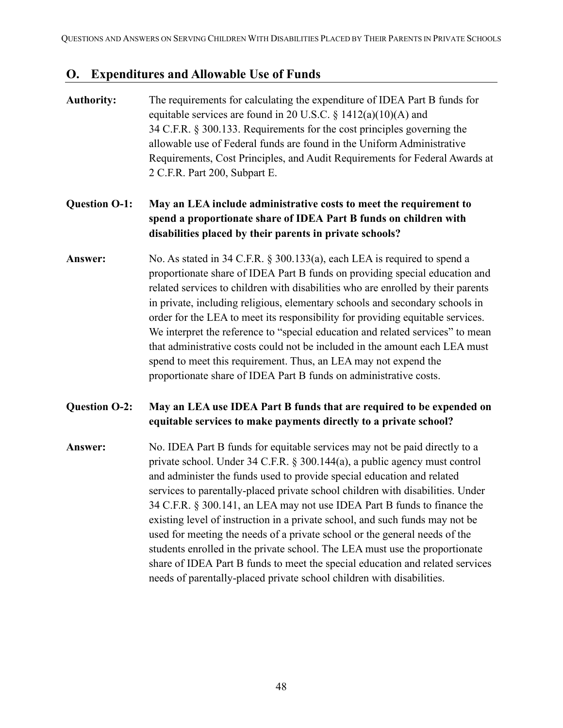#### <span id="page-47-0"></span>**O. Expenditures and Allowable Use of Funds**

- **Authority:** The requirements for calculating the expenditure of IDEA Part B funds for equitable services are found in 20 U.S.C.  $\S$  1412(a)(10)(A) and 34 C.F.R. § 300.133. Requirements for the cost principles governing the allowable use of Federal funds are found in the Uniform Administrative Requirements, Cost Principles, and Audit Requirements for Federal Awards at 2 C.F.R. Part 200, Subpart E. **Question O-1: May an LEA include administrative costs to meet the requirement to spend a proportionate share of IDEA Part B funds on children with disabilities placed by their parents in private schools? Answer:** No. As stated in 34 C.F.R. § 300.133(a), each LEA is required to spend a proportionate share of IDEA Part B funds on providing special education and related services to children with disabilities who are enrolled by their parents in private, including religious, elementary schools and secondary schools in order for the LEA to meet its responsibility for providing equitable services. We interpret the reference to "special education and related services" to mean that administrative costs could not be included in the amount each LEA must spend to meet this requirement. Thus, an LEA may not expend the proportionate share of IDEA Part B funds on administrative costs. **Question O-2: May an LEA use IDEA Part B funds that are required to be expended on equitable services to make payments directly to a private school? Answer:** No. IDEA Part B funds for equitable services may not be paid directly to a private school. Under 34 C.F.R. § 300.144(a), a public agency must control and administer the funds used to provide special education and related services to parentally-placed private school children with disabilities. Under 34 C.F.R. § 300.141, an LEA may not use IDEA Part B funds to finance the existing level of instruction in a private school, and such funds may not be used for meeting the needs of a private school or the general needs of the students enrolled in the private school. The LEA must use the proportionate share of IDEA Part B funds to meet the special education and related services
	- needs of parentally-placed private school children with disabilities.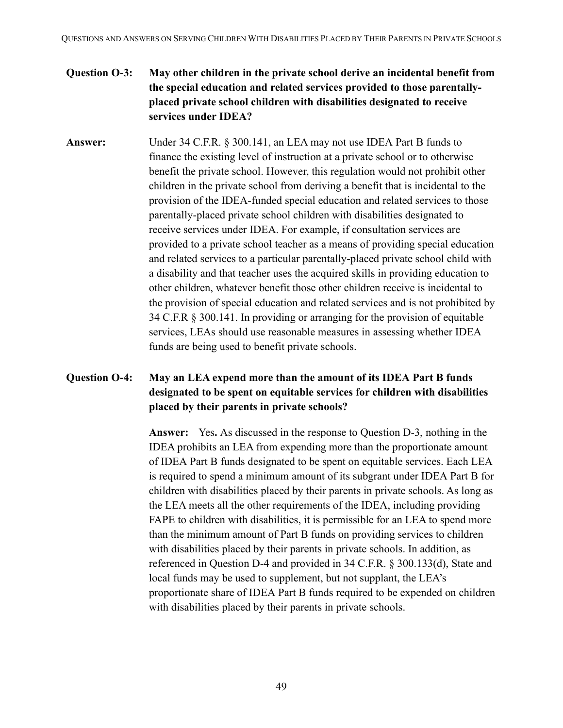### **Question O-3: May other children in the private school derive an incidental benefit from the special education and related services provided to those parentallyplaced private school children with disabilities designated to receive services under IDEA?**

**Answer:** Under 34 C.F.R. § 300.141, an LEA may not use IDEA Part B funds to finance the existing level of instruction at a private school or to otherwise benefit the private school. However, this regulation would not prohibit other children in the private school from deriving a benefit that is incidental to the provision of the IDEA-funded special education and related services to those parentally-placed private school children with disabilities designated to receive services under IDEA. For example, if consultation services are provided to a private school teacher as a means of providing special education and related services to a particular parentally-placed private school child with a disability and that teacher uses the acquired skills in providing education to other children, whatever benefit those other children receive is incidental to the provision of special education and related services and is not prohibited by 34 C.F.R § 300.141. In providing or arranging for the provision of equitable services, LEAs should use reasonable measures in assessing whether IDEA funds are being used to benefit private schools.

#### **Question O-4: May an LEA expend more than the amount of its IDEA Part B funds designated to be spent on equitable services for children with disabilities placed by their parents in private schools?**

**Answer:** Yes**.** As discussed in the response to Question D-3, nothing in the IDEA prohibits an LEA from expending more than the proportionate amount of IDEA Part B funds designated to be spent on equitable services. Each LEA is required to spend a minimum amount of its subgrant under IDEA Part B for children with disabilities placed by their parents in private schools. As long as the LEA meets all the other requirements of the IDEA, including providing FAPE to children with disabilities, it is permissible for an LEA to spend more than the minimum amount of Part B funds on providing services to children with disabilities placed by their parents in private schools. In addition, as referenced in Question D-4 and provided in 34 C.F.R. § 300.133(d), State and local funds may be used to supplement, but not supplant, the LEA's proportionate share of IDEA Part B funds required to be expended on children with disabilities placed by their parents in private schools.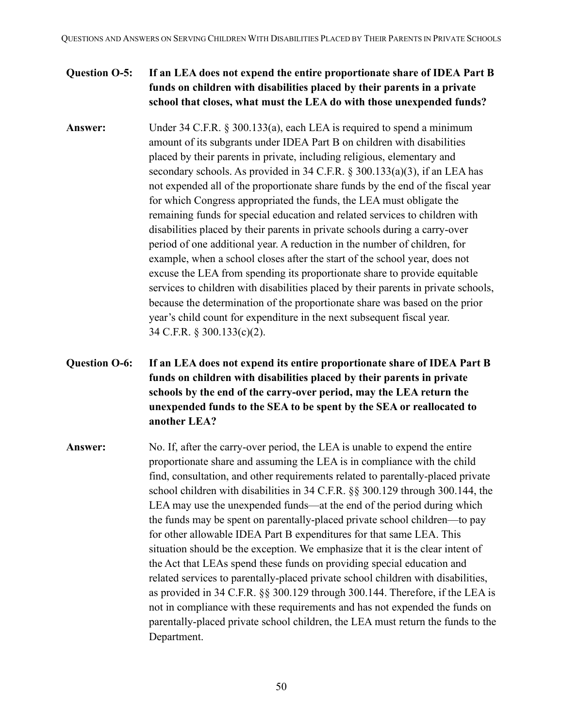#### **Question O-5: If an LEA does not expend the entire proportionate share of IDEA Part B funds on children with disabilities placed by their parents in a private school that closes, what must the LEA do with those unexpended funds?**

- **Answer:** Under 34 C.F.R. § 300.133(a), each LEA is required to spend a minimum amount of its subgrants under IDEA Part B on children with disabilities placed by their parents in private, including religious, elementary and secondary schools. As provided in 34 C.F.R. § 300.133(a)(3), if an LEA has not expended all of the proportionate share funds by the end of the fiscal year for which Congress appropriated the funds, the LEA must obligate the remaining funds for special education and related services to children with disabilities placed by their parents in private schools during a carry-over period of one additional year. A reduction in the number of children, for example, when a school closes after the start of the school year, does not excuse the LEA from spending its proportionate share to provide equitable services to children with disabilities placed by their parents in private schools, because the determination of the proportionate share was based on the prior year's child count for expenditure in the next subsequent fiscal year. 34 C.F.R. § 300.133(c)(2).
- **Question O-6: If an LEA does not expend its entire proportionate share of IDEA Part B funds on children with disabilities placed by their parents in private schools by the end of the carry-over period, may the LEA return the unexpended funds to the SEA to be spent by the SEA or reallocated to another LEA?**
- **Answer:** No. If, after the carry-over period, the LEA is unable to expend the entire proportionate share and assuming the LEA is in compliance with the child find, consultation, and other requirements related to parentally-placed private school children with disabilities in 34 C.F.R. §§ 300.129 through 300.144, the LEA may use the unexpended funds—at the end of the period during which the funds may be spent on parentally-placed private school children—to pay for other allowable IDEA Part B expenditures for that same LEA. This situation should be the exception. We emphasize that it is the clear intent of the Act that LEAs spend these funds on providing special education and related services to parentally-placed private school children with disabilities, as provided in 34 C.F.R. §§ 300.129 through 300.144. Therefore, if the LEA is not in compliance with these requirements and has not expended the funds on parentally-placed private school children, the LEA must return the funds to the Department.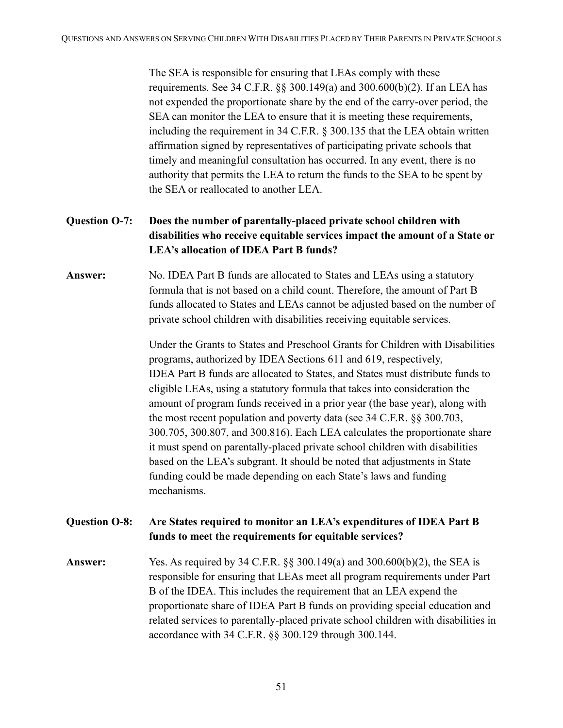The SEA is responsible for ensuring that LEAs comply with these requirements. See 34 C.F.R. §§ 300.149(a) and 300.600(b)(2). If an LEA has not expended the proportionate share by the end of the carry-over period, the SEA can monitor the LEA to ensure that it is meeting these requirements, including the requirement in 34 C.F.R. § 300.135 that the LEA obtain written affirmation signed by representatives of participating private schools that timely and meaningful consultation has occurred. In any event, there is no authority that permits the LEA to return the funds to the SEA to be spent by the SEA or reallocated to another LEA.

## **Question O-7: Does the number of parentally-placed private school children with disabilities who receive equitable services impact the amount of a State or LEA's allocation of IDEA Part B funds?**

### **Answer:** No. IDEA Part B funds are allocated to States and LEAs using a statutory formula that is not based on a child count. Therefore, the amount of Part B funds allocated to States and LEAs cannot be adjusted based on the number of private school children with disabilities receiving equitable services.

Under the Grants to States and Preschool Grants for Children with Disabilities programs, authorized by IDEA Sections 611 and 619, respectively, IDEA Part B funds are allocated to States, and States must distribute funds to eligible LEAs, using a statutory formula that takes into consideration the amount of program funds received in a prior year (the base year), along with the most recent population and poverty data (see 34 C.F.R. §§ 300.703, 300.705, 300.807, and 300.816). Each LEA calculates the proportionate share it must spend on parentally-placed private school children with disabilities based on the LEA's subgrant. It should be noted that adjustments in State funding could be made depending on each State's laws and funding mechanisms.

#### **Question O-8: Are States required to monitor an LEA's expenditures of IDEA Part B funds to meet the requirements for equitable services?**

**Answer:** Yes. As required by 34 C.F.R. §§ 300.149(a) and 300.600(b)(2), the SEA is responsible for ensuring that LEAs meet all program requirements under Part B of the IDEA. This includes the requirement that an LEA expend the proportionate share of IDEA Part B funds on providing special education and related services to parentally-placed private school children with disabilities in accordance with 34 C.F.R. §§ 300.129 through 300.144.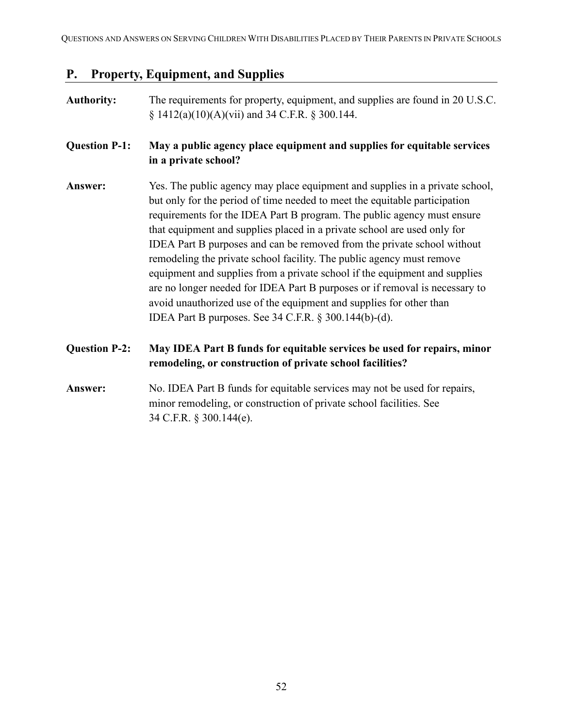# <span id="page-51-0"></span>**P. Property, Equipment, and Supplies**

| <b>Authority:</b>    | The requirements for property, equipment, and supplies are found in 20 U.S.C.<br>$\S$ 1412(a)(10)(A)(vii) and 34 C.F.R. $\S$ 300.144.                                                                                                                                                                                                                                                                                                                                                                                                                                                                                                                                                                                                                              |
|----------------------|--------------------------------------------------------------------------------------------------------------------------------------------------------------------------------------------------------------------------------------------------------------------------------------------------------------------------------------------------------------------------------------------------------------------------------------------------------------------------------------------------------------------------------------------------------------------------------------------------------------------------------------------------------------------------------------------------------------------------------------------------------------------|
| <b>Question P-1:</b> | May a public agency place equipment and supplies for equitable services<br>in a private school?                                                                                                                                                                                                                                                                                                                                                                                                                                                                                                                                                                                                                                                                    |
| Answer:              | Yes. The public agency may place equipment and supplies in a private school,<br>but only for the period of time needed to meet the equitable participation<br>requirements for the IDEA Part B program. The public agency must ensure<br>that equipment and supplies placed in a private school are used only for<br>IDEA Part B purposes and can be removed from the private school without<br>remodeling the private school facility. The public agency must remove<br>equipment and supplies from a private school if the equipment and supplies<br>are no longer needed for IDEA Part B purposes or if removal is necessary to<br>avoid unauthorized use of the equipment and supplies for other than<br>IDEA Part B purposes. See 34 C.F.R. § 300.144(b)-(d). |
| <b>Question P-2:</b> | May IDEA Part B funds for equitable services be used for repairs, minor<br>remodeling, or construction of private school facilities?                                                                                                                                                                                                                                                                                                                                                                                                                                                                                                                                                                                                                               |
| Answer:              | No. IDEA Part B funds for equitable services may not be used for repairs,<br>minor remodeling, or construction of private school facilities. See<br>34 C.F.R. § 300.144(e).                                                                                                                                                                                                                                                                                                                                                                                                                                                                                                                                                                                        |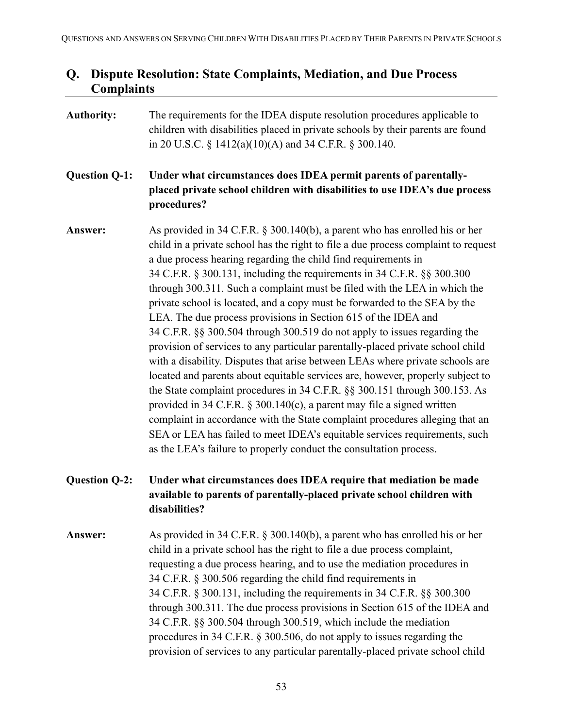## <span id="page-52-0"></span>**Q. Dispute Resolution: State Complaints, Mediation, and Due Process Complaints**

| <b>Authority:</b>    | The requirements for the IDEA dispute resolution procedures applicable to<br>children with disabilities placed in private schools by their parents are found<br>in 20 U.S.C. § 1412(a)(10)(A) and 34 C.F.R. § 300.140.                                                                                                                                                                                                                                                                                                                                                                                                                                                                                                                                                                                                                                                                                                                                                                                                                                                                                                                                                                                                                                                         |
|----------------------|--------------------------------------------------------------------------------------------------------------------------------------------------------------------------------------------------------------------------------------------------------------------------------------------------------------------------------------------------------------------------------------------------------------------------------------------------------------------------------------------------------------------------------------------------------------------------------------------------------------------------------------------------------------------------------------------------------------------------------------------------------------------------------------------------------------------------------------------------------------------------------------------------------------------------------------------------------------------------------------------------------------------------------------------------------------------------------------------------------------------------------------------------------------------------------------------------------------------------------------------------------------------------------|
| <b>Question Q-1:</b> | Under what circumstances does IDEA permit parents of parentally-<br>placed private school children with disabilities to use IDEA's due process<br>procedures?                                                                                                                                                                                                                                                                                                                                                                                                                                                                                                                                                                                                                                                                                                                                                                                                                                                                                                                                                                                                                                                                                                                  |
| Answer:              | As provided in 34 C.F.R. $\S$ 300.140(b), a parent who has enrolled his or her<br>child in a private school has the right to file a due process complaint to request<br>a due process hearing regarding the child find requirements in<br>34 C.F.R. § 300.131, including the requirements in 34 C.F.R. §§ 300.300<br>through 300.311. Such a complaint must be filed with the LEA in which the<br>private school is located, and a copy must be forwarded to the SEA by the<br>LEA. The due process provisions in Section 615 of the IDEA and<br>34 C.F.R. §§ 300.504 through 300.519 do not apply to issues regarding the<br>provision of services to any particular parentally-placed private school child<br>with a disability. Disputes that arise between LEAs where private schools are<br>located and parents about equitable services are, however, properly subject to<br>the State complaint procedures in 34 C.F.R. §§ 300.151 through 300.153. As<br>provided in 34 C.F.R. $\S$ 300.140(c), a parent may file a signed written<br>complaint in accordance with the State complaint procedures alleging that an<br>SEA or LEA has failed to meet IDEA's equitable services requirements, such<br>as the LEA's failure to properly conduct the consultation process. |
| <b>Question Q-2:</b> | Under what circumstances does IDEA require that mediation be made<br>available to parents of parentally-placed private school children with<br>disabilities?                                                                                                                                                                                                                                                                                                                                                                                                                                                                                                                                                                                                                                                                                                                                                                                                                                                                                                                                                                                                                                                                                                                   |
| Answer:              | As provided in 34 C.F.R. § 300.140(b), a parent who has enrolled his or her                                                                                                                                                                                                                                                                                                                                                                                                                                                                                                                                                                                                                                                                                                                                                                                                                                                                                                                                                                                                                                                                                                                                                                                                    |

child in a private school has the right to file a due process complaint, requesting a due process hearing, and to use the mediation procedures in 34 C.F.R. § 300.506 regarding the child find requirements in 34 C.F.R. § 300.131, including the requirements in 34 C.F.R. §§ 300.300 through 300.311. The due process provisions in Section 615 of the IDEA and 34 C.F.R. §§ 300.504 through 300.519, which include the mediation procedures in 34 C.F.R. § 300.506, do not apply to issues regarding the provision of services to any particular parentally-placed private school child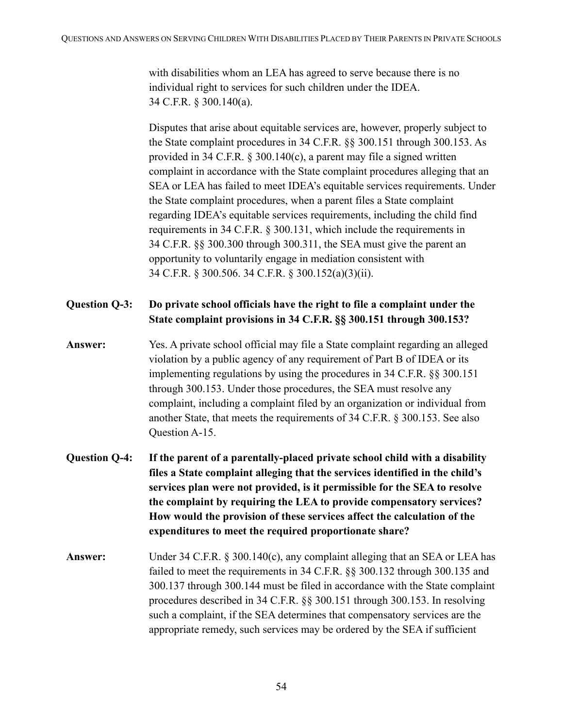with disabilities whom an LEA has agreed to serve because there is no individual right to services for such children under the IDEA. 34 C.F.R. § 300.140(a).

Disputes that arise about equitable services are, however, properly subject to the State complaint procedures in 34 C.F.R. §§ 300.151 through 300.153. As provided in 34 C.F.R. § 300.140(c), a parent may file a signed written complaint in accordance with the State complaint procedures alleging that an SEA or LEA has failed to meet IDEA's equitable services requirements. Under the State complaint procedures, when a parent files a State complaint regarding IDEA's equitable services requirements, including the child find requirements in 34 C.F.R. § 300.131, which include the requirements in 34 C.F.R. §§ 300.300 through 300.311, the SEA must give the parent an opportunity to voluntarily engage in mediation consistent with 34 C.F.R. § 300.506. 34 C.F.R. § 300.152(a)(3)(ii).

- **Question Q-3: Do private school officials have the right to file a complaint under the State complaint provisions in 34 C.F.R. §§ 300.151 through 300.153?**
- **Answer:** Yes. A private school official may file a State complaint regarding an alleged violation by a public agency of any requirement of Part B of IDEA or its implementing regulations by using the procedures in 34 C.F.R. §§ 300.151 through 300.153. Under those procedures, the SEA must resolve any complaint, including a complaint filed by an organization or individual from another State, that meets the requirements of 34 C.F.R. § 300.153. See also Question A-15.
- **Question Q-4: If the parent of a parentally-placed private school child with a disability files a State complaint alleging that the services identified in the child's services plan were not provided, is it permissible for the SEA to resolve the complaint by requiring the LEA to provide compensatory services? How would the provision of these services affect the calculation of the expenditures to meet the required proportionate share?**
- **Answer:** Under 34 C.F.R. § 300.140(c), any complaint alleging that an SEA or LEA has failed to meet the requirements in 34 C.F.R. §§ 300.132 through 300.135 and 300.137 through 300.144 must be filed in accordance with the State complaint procedures described in 34 C.F.R. §§ 300.151 through 300.153. In resolving such a complaint, if the SEA determines that compensatory services are the appropriate remedy, such services may be ordered by the SEA if sufficient